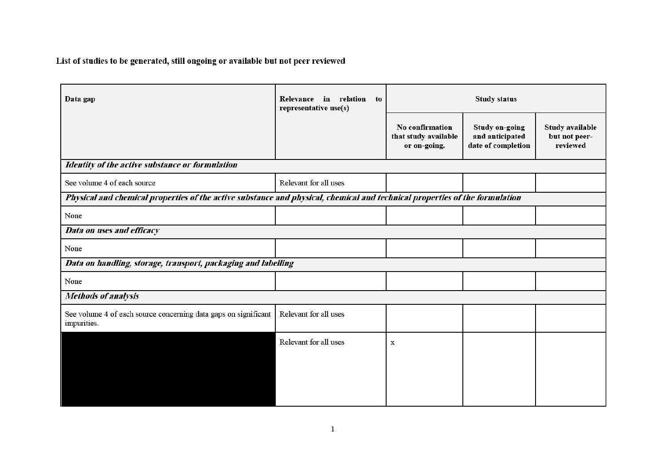List of studies to be generated, still ongoing or available but not peer reviewed

| Data gap                                                                                                                    | Relevance in relation<br>to<br>representative use(s) | <b>Study status</b>                                     |                                                                |                                              |  |  |  |  |  |
|-----------------------------------------------------------------------------------------------------------------------------|------------------------------------------------------|---------------------------------------------------------|----------------------------------------------------------------|----------------------------------------------|--|--|--|--|--|
|                                                                                                                             |                                                      | No confirmation<br>that study available<br>or on-going. | <b>Study on-going</b><br>and anticipated<br>date of completion | Study available<br>but not peer-<br>reviewed |  |  |  |  |  |
| Identity of the active substance or formulation                                                                             |                                                      |                                                         |                                                                |                                              |  |  |  |  |  |
| See volume 4 of each source                                                                                                 | Relevant for all uses                                |                                                         |                                                                |                                              |  |  |  |  |  |
| Physical and chemical properties of the active substance and physical, chemical and technical properties of the formulation |                                                      |                                                         |                                                                |                                              |  |  |  |  |  |
| None                                                                                                                        |                                                      |                                                         |                                                                |                                              |  |  |  |  |  |
| Data on uses and efficacy                                                                                                   |                                                      |                                                         |                                                                |                                              |  |  |  |  |  |
| None                                                                                                                        |                                                      |                                                         |                                                                |                                              |  |  |  |  |  |
| Data on handling, storage, transport, packaging and labelling                                                               |                                                      |                                                         |                                                                |                                              |  |  |  |  |  |
| None                                                                                                                        |                                                      |                                                         |                                                                |                                              |  |  |  |  |  |
| <b>Methods of analysis</b>                                                                                                  |                                                      |                                                         |                                                                |                                              |  |  |  |  |  |
| See volume 4 of each source concerning data gaps on significant<br>impurities.                                              | Relevant for all uses                                |                                                         |                                                                |                                              |  |  |  |  |  |
|                                                                                                                             | Relevant for all uses                                | $\mathbf X$                                             |                                                                |                                              |  |  |  |  |  |
|                                                                                                                             |                                                      |                                                         |                                                                |                                              |  |  |  |  |  |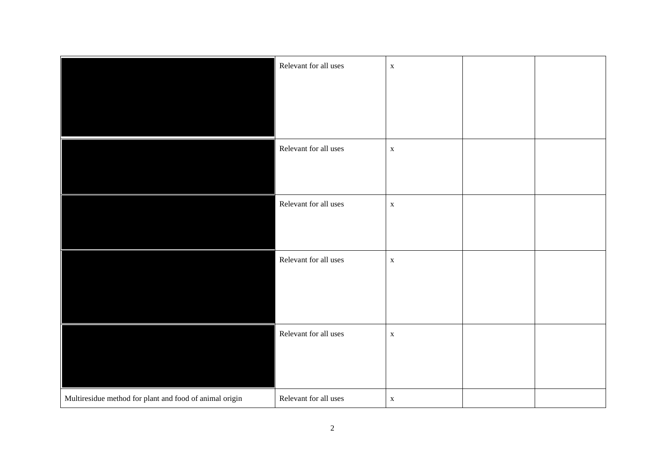|                                                         | Relevant for all uses | $\mathbf X$ |  |
|---------------------------------------------------------|-----------------------|-------------|--|
|                                                         |                       |             |  |
|                                                         |                       |             |  |
|                                                         |                       |             |  |
|                                                         | Relevant for all uses | $\mathbf X$ |  |
|                                                         |                       |             |  |
|                                                         |                       |             |  |
|                                                         | Relevant for all uses | $\mathbf X$ |  |
|                                                         |                       |             |  |
|                                                         |                       |             |  |
|                                                         | Relevant for all uses | $\mathbf X$ |  |
|                                                         |                       |             |  |
|                                                         |                       |             |  |
|                                                         |                       |             |  |
|                                                         | Relevant for all uses | $\mathbf X$ |  |
|                                                         |                       |             |  |
|                                                         |                       |             |  |
| Multiresidue method for plant and food of animal origin | Relevant for all uses | $\mathbf X$ |  |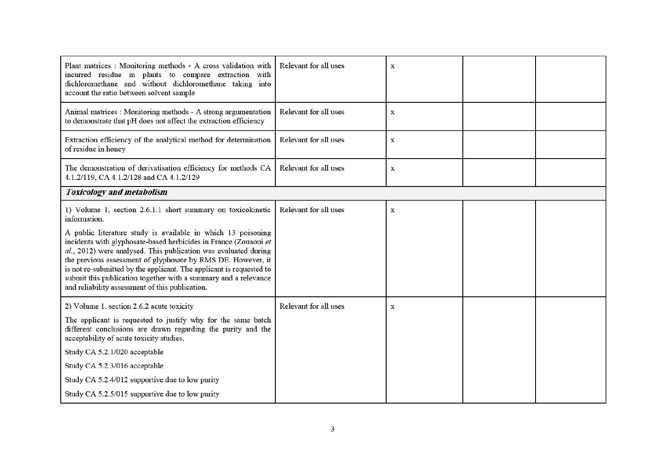| Plant matrices : Monitoring methods - A cross validation with<br>incurred residue in plants to compare extraction with<br>dichloromethane and without dichloromethane taking into<br>account the ratio between solvent sample                                                                                                                                                                                                                                                                                                                   | Relevant for all uses | X           |  |  |  |  |  |  |
|-------------------------------------------------------------------------------------------------------------------------------------------------------------------------------------------------------------------------------------------------------------------------------------------------------------------------------------------------------------------------------------------------------------------------------------------------------------------------------------------------------------------------------------------------|-----------------------|-------------|--|--|--|--|--|--|
| Animal matrices : Monitoring methods - A strong argumentation<br>to demonstrate that pH does not affect the extraction efficiency                                                                                                                                                                                                                                                                                                                                                                                                               | Relevant for all uses | X           |  |  |  |  |  |  |
| Extraction efficiency of the analytical method for determination<br>of residue in honey                                                                                                                                                                                                                                                                                                                                                                                                                                                         | Relevant for all uses | $\mathbf X$ |  |  |  |  |  |  |
| The demonstration of derivatisation efficiency for methods CA<br>4.1.2/119, CA 4.1.2/128 and CA 4.1.2/129                                                                                                                                                                                                                                                                                                                                                                                                                                       | Relevant for all uses | X           |  |  |  |  |  |  |
| <b>Toxicology and metabolism</b>                                                                                                                                                                                                                                                                                                                                                                                                                                                                                                                |                       |             |  |  |  |  |  |  |
| 1) Volume 1, section 2.6.1.1 short summary on toxicokinetic<br>information.<br>A public literature study is available in which 13 poisoning<br>incidents with glyphosate-based herbicides in France (Zouaoui et<br>al., 2012) were analysed. This publication was evaluated during<br>the previous assessment of glyphosate by RMS DE. However, it<br>is not re-submitted by the applicant. The applicant is requested to<br>submit this publication together with a summary and a relevance<br>and reliability assessment of this publication. | Relevant for all uses | $\mathbf X$ |  |  |  |  |  |  |
| 2) Volume 1, section 2.6.2 acute toxicity<br>The applicant is requested to justify why for the same batch<br>different conclusions are drawn regarding the purity and the<br>acceptability of acute toxicity studies.<br>Study CA 5.2.1/020 acceptable<br>Study CA 5.2.3/016 acceptable<br>Study CA 5.2.4/012 supportive due to low purity<br>Study CA 5.2.5/015 supportive due to low purity                                                                                                                                                   | Relevant for all uses | X           |  |  |  |  |  |  |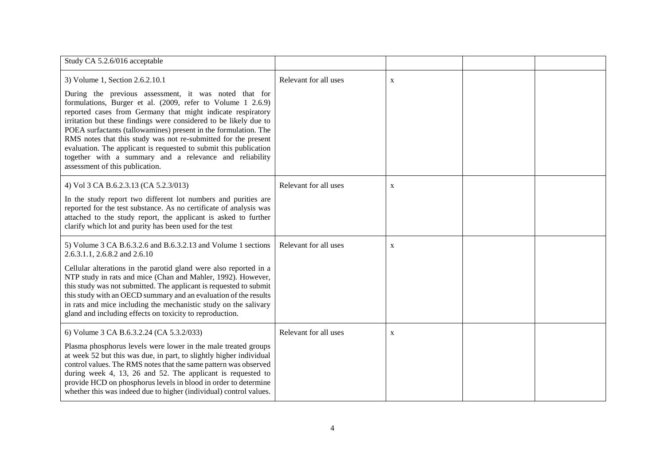| Study CA 5.2.6/016 acceptable                                                                                                                                                                                                                                                                                                                                                                                                                                                                                                                                                                       |                       |             |  |
|-----------------------------------------------------------------------------------------------------------------------------------------------------------------------------------------------------------------------------------------------------------------------------------------------------------------------------------------------------------------------------------------------------------------------------------------------------------------------------------------------------------------------------------------------------------------------------------------------------|-----------------------|-------------|--|
| 3) Volume 1, Section 2.6.2.10.1<br>During the previous assessment, it was noted that for<br>formulations, Burger et al. (2009, refer to Volume 1 2.6.9)<br>reported cases from Germany that might indicate respiratory<br>irritation but these findings were considered to be likely due to<br>POEA surfactants (tallowamines) present in the formulation. The<br>RMS notes that this study was not re-submitted for the present<br>evaluation. The applicant is requested to submit this publication<br>together with a summary and a relevance and reliability<br>assessment of this publication. | Relevant for all uses | $\mathbf X$ |  |
| 4) Vol 3 CA B.6.2.3.13 (CA 5.2.3/013)<br>In the study report two different lot numbers and purities are<br>reported for the test substance. As no certificate of analysis was<br>attached to the study report, the applicant is asked to further<br>clarify which lot and purity has been used for the test                                                                                                                                                                                                                                                                                         | Relevant for all uses | $\mathbf X$ |  |
| 5) Volume 3 CA B.6.3.2.6 and B.6.3.2.13 and Volume 1 sections<br>2.6.3.1.1, 2.6.8.2 and 2.6.10<br>Cellular alterations in the parotid gland were also reported in a<br>NTP study in rats and mice (Chan and Mahler, 1992). However,<br>this study was not submitted. The applicant is requested to submit<br>this study with an OECD summary and an evaluation of the results<br>in rats and mice including the mechanistic study on the salivary<br>gland and including effects on toxicity to reproduction.                                                                                       | Relevant for all uses | $\mathbf X$ |  |
| 6) Volume 3 CA B.6.3.2.24 (CA 5.3.2/033)<br>Plasma phosphorus levels were lower in the male treated groups<br>at week 52 but this was due, in part, to slightly higher individual<br>control values. The RMS notes that the same pattern was observed<br>during week 4, 13, 26 and 52. The applicant is requested to<br>provide HCD on phosphorus levels in blood in order to determine<br>whether this was indeed due to higher (individual) control values.                                                                                                                                       | Relevant for all uses | $\mathbf X$ |  |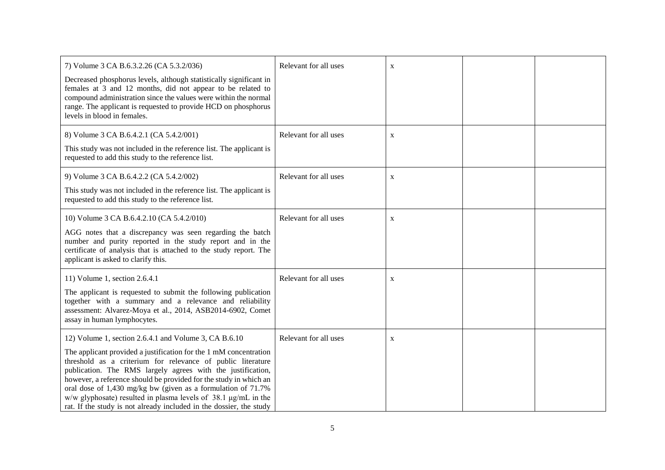| 7) Volume 3 CA B.6.3.2.26 (CA 5.3.2/036)<br>Decreased phosphorus levels, although statistically significant in<br>females at 3 and 12 months, did not appear to be related to<br>compound administration since the values were within the normal<br>range. The applicant is requested to provide HCD on phosphorus<br>levels in blood in females.                                                                                                                                                                                             | Relevant for all uses | X |  |
|-----------------------------------------------------------------------------------------------------------------------------------------------------------------------------------------------------------------------------------------------------------------------------------------------------------------------------------------------------------------------------------------------------------------------------------------------------------------------------------------------------------------------------------------------|-----------------------|---|--|
| 8) Volume 3 CA B.6.4.2.1 (CA 5.4.2/001)<br>This study was not included in the reference list. The applicant is<br>requested to add this study to the reference list.                                                                                                                                                                                                                                                                                                                                                                          | Relevant for all uses | X |  |
| 9) Volume 3 CA B.6.4.2.2 (CA 5.4.2/002)<br>This study was not included in the reference list. The applicant is<br>requested to add this study to the reference list.                                                                                                                                                                                                                                                                                                                                                                          | Relevant for all uses | X |  |
| 10) Volume 3 CA B.6.4.2.10 (CA 5.4.2/010)<br>AGG notes that a discrepancy was seen regarding the batch<br>number and purity reported in the study report and in the<br>certificate of analysis that is attached to the study report. The<br>applicant is asked to clarify this.                                                                                                                                                                                                                                                               | Relevant for all uses | X |  |
| 11) Volume 1, section 2.6.4.1<br>The applicant is requested to submit the following publication<br>together with a summary and a relevance and reliability<br>assessment: Alvarez-Moya et al., 2014, ASB2014-6902, Comet<br>assay in human lymphocytes.                                                                                                                                                                                                                                                                                       | Relevant for all uses | X |  |
| 12) Volume 1, section 2.6.4.1 and Volume 3, CA B.6.10<br>The applicant provided a justification for the 1 mM concentration<br>threshold as a criterium for relevance of public literature<br>publication. The RMS largely agrees with the justification,<br>however, a reference should be provided for the study in which an<br>oral dose of 1,430 mg/kg bw (given as a formulation of 71.7%<br>$w/w$ glyphosate) resulted in plasma levels of 38.1 $\mu$ g/mL in the<br>rat. If the study is not already included in the dossier, the study | Relevant for all uses | X |  |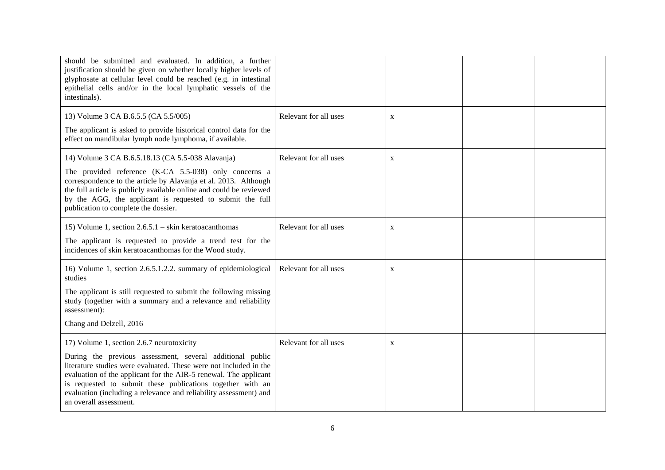| should be submitted and evaluated. In addition, a further<br>justification should be given on whether locally higher levels of<br>glyphosate at cellular level could be reached (e.g. in intestinal<br>epithelial cells and/or in the local lymphatic vessels of the<br>intestinals).                                                                                                                        |                       |             |  |
|--------------------------------------------------------------------------------------------------------------------------------------------------------------------------------------------------------------------------------------------------------------------------------------------------------------------------------------------------------------------------------------------------------------|-----------------------|-------------|--|
| 13) Volume 3 CA B.6.5.5 (CA 5.5/005)<br>The applicant is asked to provide historical control data for the<br>effect on mandibular lymph node lymphoma, if available.                                                                                                                                                                                                                                         | Relevant for all uses | X           |  |
| 14) Volume 3 CA B.6.5.18.13 (CA 5.5-038 Alavanja)<br>The provided reference (K-CA 5.5-038) only concerns a<br>correspondence to the article by Alavanja et al. 2013. Although<br>the full article is publicly available online and could be reviewed<br>by the AGG, the applicant is requested to submit the full<br>publication to complete the dossier.                                                    | Relevant for all uses | X           |  |
| 15) Volume 1, section $2.6.5.1 -$ skin keratoacanthomas<br>The applicant is requested to provide a trend test for the<br>incidences of skin keratoacanthomas for the Wood study.                                                                                                                                                                                                                             | Relevant for all uses | $\mathbf X$ |  |
| 16) Volume 1, section 2.6.5.1.2.2. summary of epidemiological<br>studies<br>The applicant is still requested to submit the following missing<br>study (together with a summary and a relevance and reliability<br>assessment):<br>Chang and Delzell, 2016                                                                                                                                                    | Relevant for all uses | $\mathbf X$ |  |
| 17) Volume 1, section 2.6.7 neurotoxicity<br>During the previous assessment, several additional public<br>literature studies were evaluated. These were not included in the<br>evaluation of the applicant for the AIR-5 renewal. The applicant<br>is requested to submit these publications together with an<br>evaluation (including a relevance and reliability assessment) and<br>an overall assessment. | Relevant for all uses | $\mathbf X$ |  |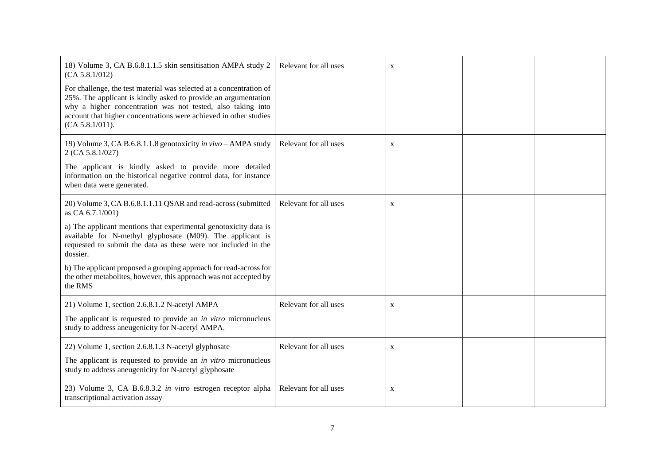| 18) Volume 3, CA B.6.8.1.1.5 skin sensitisation AMPA study 2<br>(CA 5.8.1/012)<br>For challenge, the test material was selected at a concentration of<br>25%. The applicant is kindly asked to provide an argumentation<br>why a higher concentration was not tested, also taking into<br>account that higher concentrations were achieved in other studies<br>(CA 5.8.1/011).                                                                        | Relevant for all uses | $\mathbf{X}$ |  |
|-------------------------------------------------------------------------------------------------------------------------------------------------------------------------------------------------------------------------------------------------------------------------------------------------------------------------------------------------------------------------------------------------------------------------------------------------------|-----------------------|--------------|--|
| 19) Volume 3, CA B.6.8.1.1.8 genotoxicity in vivo - AMPA study<br>2 (CA 5.8.1/027)<br>The applicant is kindly asked to provide more detailed<br>information on the historical negative control data, for instance<br>when data were generated.                                                                                                                                                                                                        | Relevant for all uses | $\mathbf X$  |  |
| 20) Volume 3, CA B.6.8.1.1.11 QSAR and read-across (submitted<br>as CA 6.7.1/001)<br>a) The applicant mentions that experimental genotoxicity data is<br>available for N-methyl glyphosate (M09). The applicant is<br>requested to submit the data as these were not included in the<br>dossier.<br>b) The applicant proposed a grouping approach for read-across for<br>the other metabolites, however, this approach was not accepted by<br>the RMS | Relevant for all uses | X            |  |
| 21) Volume 1, section 2.6.8.1.2 N-acetyl AMPA<br>The applicant is requested to provide an <i>in vitro</i> micronucleus<br>study to address an<br>eugenicity for N-acetyl AMPA.                                                                                                                                                                                                                                                                        | Relevant for all uses | X            |  |
| 22) Volume 1, section 2.6.8.1.3 N-acetyl glyphosate<br>The applicant is requested to provide an <i>in vitro</i> micronucleus<br>study to address an<br>eugenicity for N-acetyl glyphosate                                                                                                                                                                                                                                                             | Relevant for all uses | X            |  |
| 23) Volume 3, CA B.6.8.3.2 in vitro estrogen receptor alpha<br>transcriptional activation assay                                                                                                                                                                                                                                                                                                                                                       | Relevant for all uses | $\mathbf{X}$ |  |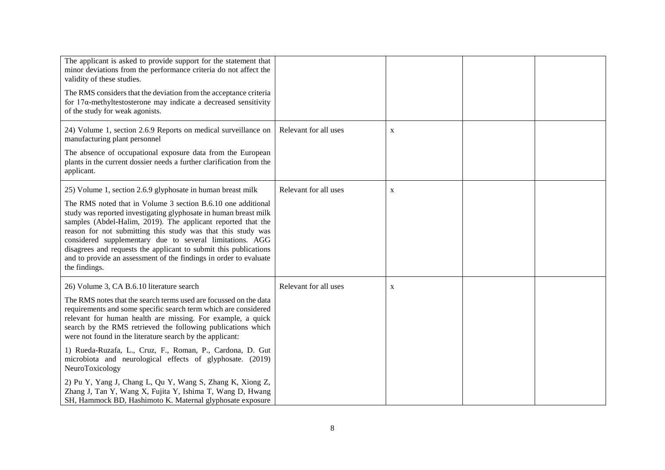| The applicant is asked to provide support for the statement that<br>minor deviations from the performance criteria do not affect the<br>validity of these studies.<br>The RMS considers that the deviation from the acceptance criteria<br>for $17\alpha$ -methyltestosterone may indicate a decreased sensitivity<br>of the study for weak agonists.                                                                                                                                                                                                                                                                                                                                                             |                       |             |  |
|-------------------------------------------------------------------------------------------------------------------------------------------------------------------------------------------------------------------------------------------------------------------------------------------------------------------------------------------------------------------------------------------------------------------------------------------------------------------------------------------------------------------------------------------------------------------------------------------------------------------------------------------------------------------------------------------------------------------|-----------------------|-------------|--|
| 24) Volume 1, section 2.6.9 Reports on medical surveillance on<br>manufacturing plant personnel<br>The absence of occupational exposure data from the European<br>plants in the current dossier needs a further clarification from the<br>applicant.                                                                                                                                                                                                                                                                                                                                                                                                                                                              | Relevant for all uses | $\mathbf X$ |  |
| 25) Volume 1, section 2.6.9 glyphosate in human breast milk<br>The RMS noted that in Volume 3 section B.6.10 one additional<br>study was reported investigating glyphosate in human breast milk<br>samples (Abdel-Halim, 2019). The applicant reported that the<br>reason for not submitting this study was that this study was<br>considered supplementary due to several limitations. AGG<br>disagrees and requests the applicant to submit this publications<br>and to provide an assessment of the findings in order to evaluate<br>the findings.                                                                                                                                                             | Relevant for all uses | X           |  |
| 26) Volume 3, CA B.6.10 literature search<br>The RMS notes that the search terms used are focussed on the data<br>requirements and some specific search term which are considered<br>relevant for human health are missing. For example, a quick<br>search by the RMS retrieved the following publications which<br>were not found in the literature search by the applicant:<br>1) Rueda-Ruzafa, L., Cruz, F., Roman, P., Cardona, D. Gut<br>microbiota and neurological effects of glyphosate. (2019)<br>NeuroToxicology<br>2) Pu Y, Yang J, Chang L, Qu Y, Wang S, Zhang K, Xiong Z,<br>Zhang J, Tan Y, Wang X, Fujita Y, Ishima T, Wang D, Hwang<br>SH, Hammock BD, Hashimoto K. Maternal glyphosate exposure | Relevant for all uses | X           |  |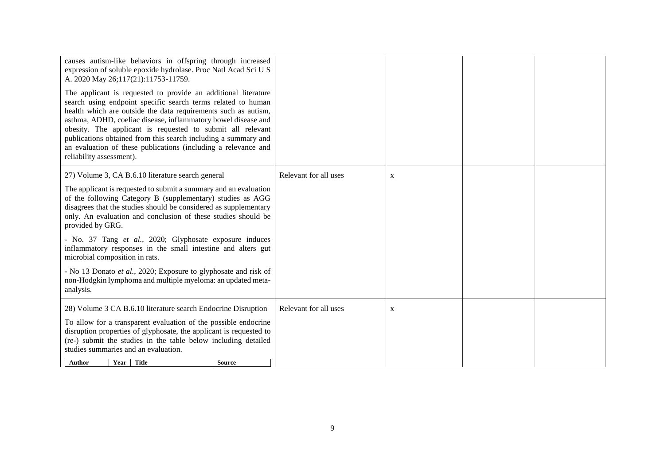| causes autism-like behaviors in offspring through increased<br>expression of soluble epoxide hydrolase. Proc Natl Acad Sci U S<br>A. 2020 May 26;117(21):11753-11759.<br>The applicant is requested to provide an additional literature<br>search using endpoint specific search terms related to human<br>health which are outside the data requirements such as autism,<br>asthma, ADHD, coeliac disease, inflammatory bowel disease and<br>obesity. The applicant is requested to submit all relevant<br>publications obtained from this search including a summary and<br>an evaluation of these publications (including a relevance and<br>reliability assessment). |                       |              |  |
|--------------------------------------------------------------------------------------------------------------------------------------------------------------------------------------------------------------------------------------------------------------------------------------------------------------------------------------------------------------------------------------------------------------------------------------------------------------------------------------------------------------------------------------------------------------------------------------------------------------------------------------------------------------------------|-----------------------|--------------|--|
| 27) Volume 3, CA B.6.10 literature search general                                                                                                                                                                                                                                                                                                                                                                                                                                                                                                                                                                                                                        | Relevant for all uses | $\mathbf{X}$ |  |
| The applicant is requested to submit a summary and an evaluation<br>of the following Category B (supplementary) studies as AGG<br>disagrees that the studies should be considered as supplementary<br>only. An evaluation and conclusion of these studies should be<br>provided by GRG.                                                                                                                                                                                                                                                                                                                                                                                  |                       |              |  |
| - No. 37 Tang et al., 2020; Glyphosate exposure induces<br>inflammatory responses in the small intestine and alters gut<br>microbial composition in rats.                                                                                                                                                                                                                                                                                                                                                                                                                                                                                                                |                       |              |  |
| - No 13 Donato et al., 2020; Exposure to glyphosate and risk of<br>non-Hodgkin lymphoma and multiple myeloma: an updated meta-<br>analysis.                                                                                                                                                                                                                                                                                                                                                                                                                                                                                                                              |                       |              |  |
| 28) Volume 3 CA B.6.10 literature search Endocrine Disruption                                                                                                                                                                                                                                                                                                                                                                                                                                                                                                                                                                                                            | Relevant for all uses | $\mathbf X$  |  |
| To allow for a transparent evaluation of the possible endocrine<br>disruption properties of glyphosate, the applicant is requested to<br>(re-) submit the studies in the table below including detailed<br>studies summaries and an evaluation.                                                                                                                                                                                                                                                                                                                                                                                                                          |                       |              |  |
| Year Title<br>Author<br><b>Source</b>                                                                                                                                                                                                                                                                                                                                                                                                                                                                                                                                                                                                                                    |                       |              |  |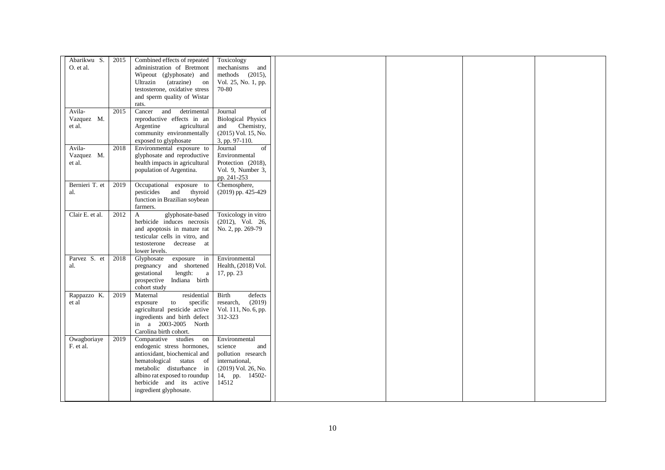| Abarikwu S.<br>O. et al.       | 2015 | Combined effects of repeated<br>administration of Bretmont<br>Wipeout (glyphosate) and<br>Ultrazin (atrazine)<br>on<br>testosterone, oxidative stress<br>and sperm quality of Wistar                                               | Toxicology<br>mechanisms<br>and<br>methods (2015),<br>Vol. 25, No. 1, pp.<br>70-80                                        |
|--------------------------------|------|------------------------------------------------------------------------------------------------------------------------------------------------------------------------------------------------------------------------------------|---------------------------------------------------------------------------------------------------------------------------|
| Avila-<br>Vazquez M.<br>et al. | 2015 | rats.<br>Cancer and<br>detrimental<br>reproductive effects in an<br>Argentine<br>agricultural<br>community environmentally<br>exposed to glyphosate                                                                                | of<br>Journal<br><b>Biological Physics</b><br>and<br>Chemistry,<br>(2015) Vol. 15, No.<br>3, pp. 97-110.                  |
| Avila-<br>Vazquez M.<br>et al. | 2018 | Environmental exposure to<br>glyphosate and reproductive<br>health impacts in agricultural<br>population of Argentina.                                                                                                             | of<br>Journal<br>Environmental<br>Protection (2018),<br>Vol. 9, Number 3,<br>pp. 241-253                                  |
| Bernieri T. et<br>al.          | 2019 | Occupational exposure to<br>pesticides and thyroid<br>function in Brazilian soybean<br>farmers.                                                                                                                                    | Chemosphere,<br>(2019) pp. 425-429                                                                                        |
| Clair E. et al.                | 2012 | glyphosate-based<br>$\mathbf{A}$<br>herbicide induces necrosis<br>and apoptosis in mature rat<br>testicular cells in vitro, and<br>testosterone decrease at<br>lower levels.                                                       | Toxicology in vitro<br>$(2012)$ , Vol. 26,<br>No. 2, pp. 269-79                                                           |
| Parvez S. et<br>al.            | 2018 | Glyphosate<br>exposure in<br>pregnancy and shortened<br>gestational<br>length:<br>$\rm{a}$<br>prospective Indiana birth<br>cohort study                                                                                            | Environmental<br>Health, (2018) Vol.<br>17, pp. 23                                                                        |
| Rappazzo K.<br>et al           | 2019 | residential<br>Maternal<br>exposure<br>specific<br>to<br>agricultural pesticide active<br>ingredients and birth defect<br>in a 2003-2005 North<br>Carolina birth cohort.                                                           | Birth<br>defects<br>(2019)<br>research,<br>Vol. 111, No. 6, pp.<br>312-323                                                |
| Owagboriaye<br>F. et al.       | 2019 | Comparative studies on<br>endogenic stress hormones,<br>antioxidant, biochemical and<br>hematological status of<br>metabolic disturbance in<br>albino rat exposed to roundup<br>herbicide and its active<br>ingredient glyphosate. | Environmental<br>science<br>and<br>pollution research<br>international,<br>(2019) Vol. 26, No.<br>14, pp. 14502-<br>14512 |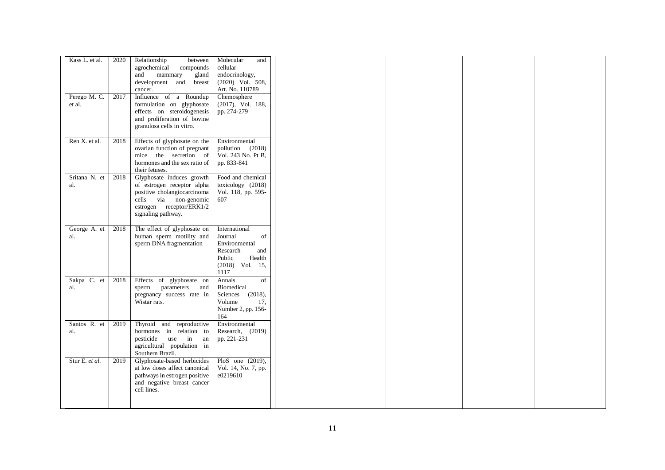| Kass L. et al.<br>Perego M. C.<br>et al. | 2020<br>2017 | Relationship<br>between<br>agrochemical<br>compounds<br>and<br>mammary<br>gland<br>development and<br>breast<br>cancer.<br>Influence of a Roundup<br>formulation on glyphosate<br>effects on steroidogenesis<br>and proliferation of bovine<br>granulosa cells in vitro. | Molecular<br>and<br>cellular<br>endocrinology,<br>$(2020)$ Vol. 508,<br>Art. No. 110789<br>Chemosphere<br>(2017), Vol. 188,<br>pp. 274-279 |  |  |
|------------------------------------------|--------------|--------------------------------------------------------------------------------------------------------------------------------------------------------------------------------------------------------------------------------------------------------------------------|--------------------------------------------------------------------------------------------------------------------------------------------|--|--|
| Ren X. et al.                            | 2018         | Effects of glyphosate on the<br>ovarian function of pregnant<br>mice the secretion of<br>hormones and the sex ratio of<br>their fetuses.                                                                                                                                 | Environmental<br>pollution (2018)<br>Vol. 243 No. Pt B,<br>pp. 833-841                                                                     |  |  |
| Sritana N. et<br>al.                     | 2018         | Glyphosate induces growth<br>of estrogen receptor alpha<br>positive cholangiocarcinoma<br>cells via non-genomic<br>estrogen receptor/ERK1/2<br>signaling pathway.                                                                                                        | Food and chemical<br>toxicology (2018)<br>Vol. 118, pp. 595-<br>607                                                                        |  |  |
| George A. et<br>al.                      | 2018         | The effect of glyphosate on<br>human sperm motility and<br>sperm DNA fragmentation                                                                                                                                                                                       | International<br>of<br>Journal<br>Environmental<br>Research<br>and<br>Health<br>Public<br>$(2018)$ Vol. 15,<br>1117                        |  |  |
| Sakpa C. et<br>al.                       | 2018         | Effects of glyphosate on<br>sperm<br>parameters<br>and<br>pregnancy success rate in<br>Wistar rats.                                                                                                                                                                      | $\overline{of}$<br>Annals<br>Biomedical<br>Sciences (2018),<br>Volume<br>17,<br>Number 2, pp. 156-<br>164                                  |  |  |
| Santos R. et<br>al.                      | 2019         | Thyroid and reproductive<br>hormones in relation to<br>use in<br>pesticide<br>an<br>agricultural population in<br>Southern Brazil.                                                                                                                                       | Environmental<br>Research, (2019)<br>pp. 221-231                                                                                           |  |  |
| Stur E. et al.                           | 2019         | Glyphosate-based herbicides<br>at low doses affect canonical<br>pathways in estrogen positive<br>and negative breast cancer<br>cell lines.                                                                                                                               | PloS one $(2019)$ ,<br>Vol. 14, No. 7, pp.<br>e0219610                                                                                     |  |  |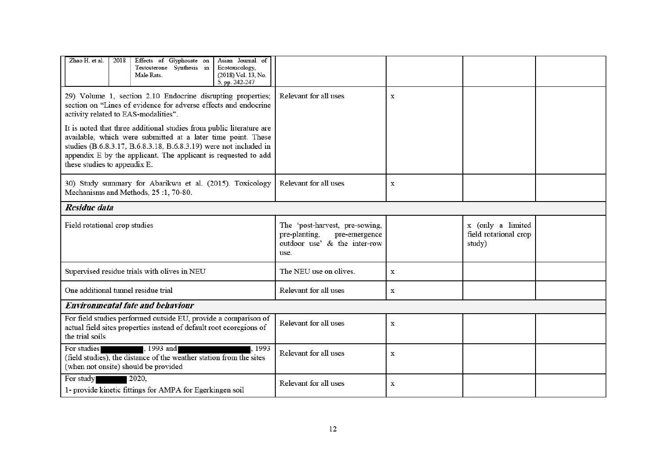| Zhao H. et al.<br>Effects of Glyphosate on<br>Asian Journal of<br>2018<br>Testosterone Synthesis in<br>Ecotoxicology,<br>(2018) Vol. 13, No.<br>Male Rats.<br>5, pp. 242-247                                                                                                                                |                                                                                                          |             |                                                      |  |
|-------------------------------------------------------------------------------------------------------------------------------------------------------------------------------------------------------------------------------------------------------------------------------------------------------------|----------------------------------------------------------------------------------------------------------|-------------|------------------------------------------------------|--|
| 29) Volume 1, section 2.10 Endocrine disrupting properties;<br>section on "Lines of evidence for adverse effects and endocrine<br>activity related to EAS-modalities".                                                                                                                                      | Relevant for all uses                                                                                    | x           |                                                      |  |
| It is noted that three additional studies from public literature are<br>available, which were submitted at a later time point. These<br>studies (B.6.8.3.17, B.6.8.3.18, B.6.8.3.19) were not included in<br>appendix E by the applicant. The applicant is requested to add<br>these studies to appendix E. |                                                                                                          |             |                                                      |  |
| 30) Study summary for Abarikwu et al. (2015). Toxicology<br>Mechanisms and Methods, 25:1, 70-80.                                                                                                                                                                                                            | Relevant for all uses                                                                                    | $\mathbf X$ |                                                      |  |
| Residue data                                                                                                                                                                                                                                                                                                |                                                                                                          |             |                                                      |  |
| Field rotational crop studies                                                                                                                                                                                                                                                                               | The 'post-harvest, pre-sowing,<br>pre-planting,<br>pre-emergence<br>outdoor use' & the inter-row<br>use. |             | x (only a limited<br>field rotational crop<br>study) |  |
| Supervised residue trials with olives in NEU                                                                                                                                                                                                                                                                | The NEU use on olives.                                                                                   | $\mathbf x$ |                                                      |  |
| One additional tunnel residue trial                                                                                                                                                                                                                                                                         | Relevant for all uses                                                                                    | $\mathbf x$ |                                                      |  |
| Environmental fate and behaviour                                                                                                                                                                                                                                                                            |                                                                                                          |             |                                                      |  |
| For field studies performed outside EU, provide a comparison of<br>actual field sites properties instead of default root ecoregions of<br>the trial soils                                                                                                                                                   | Relevant for all uses                                                                                    | $\mathbf X$ |                                                      |  |
| For studies<br>, 1993 and<br>. 1993<br>(field studies), the distance of the weather station from the sites<br>(when not onsite) should be provided                                                                                                                                                          | Relevant for all uses                                                                                    | X           |                                                      |  |
| 2020,<br>For study<br>1- provide kinetic fittings for AMPA for Egerkingen soil                                                                                                                                                                                                                              | Relevant for all uses                                                                                    | $\mathbf X$ |                                                      |  |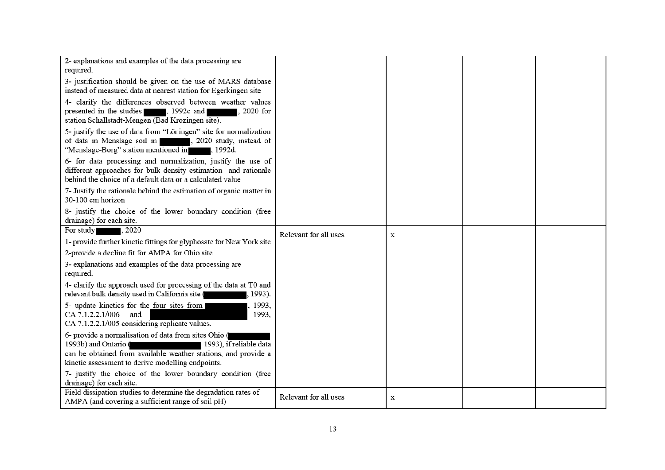| 2- explanations and examples of the data processing are<br>required.                                                                                                                                                           |                       |             |  |
|--------------------------------------------------------------------------------------------------------------------------------------------------------------------------------------------------------------------------------|-----------------------|-------------|--|
| 3- justification should be given on the use of MARS database<br>instead of measured data at nearest station for Egerkingen site                                                                                                |                       |             |  |
| 4- clarify the differences observed between weather values<br>presented in the studies<br>, 1992c and<br>, 2020 for<br>station Schallstadt-Mengen (Bad Krozingen site).                                                        |                       |             |  |
| 5- justify the use of data from "Löningen" site for normalization<br>of data in Menslage soil in<br>3020 study, instead of<br>"Menslage-Borg" station mentioned in 1992d.                                                      |                       |             |  |
| 6- for data processing and normalization, justify the use of<br>different approaches for bulk density estimation and rationale<br>behind the choice of a default data or a calculated value                                    |                       |             |  |
| 7- Justify the rationale behind the estimation of organic matter in<br>30-100 cm horizon                                                                                                                                       |                       |             |  |
| 8- justify the choice of the lower boundary condition (free<br>drainage) for each site.                                                                                                                                        |                       |             |  |
| For study<br>. 2020                                                                                                                                                                                                            | Relevant for all uses | $\mathbf X$ |  |
| 1- provide further kinetic fittings for glyphosate for New York site                                                                                                                                                           |                       |             |  |
| 2-provide a decline fit for AMPA for Ohio site                                                                                                                                                                                 |                       |             |  |
| 3- explanations and examples of the data processing are<br>required.                                                                                                                                                           |                       |             |  |
| 4- clarify the approach used for processing of the data at T0 and<br>relevant bulk density used in California site (<br>, 1993).                                                                                               |                       |             |  |
| 5- update kinetics for the four sites from<br>1993,<br>CA 7.1.2.2.1/006 and<br>1993,<br>CA 7.1.2.2.1/005 considering replicate values.                                                                                         |                       |             |  |
| 6- provide a normalisation of data from sites Ohio (<br>1993b) and Ontario (<br>1993), if reliable data<br>can be obtained from available weather stations, and provide a<br>kinetic assessment to derive modelling endpoints. |                       |             |  |
| 7- justify the choice of the lower boundary condition (free<br>drainage) for each site.                                                                                                                                        |                       |             |  |
| Field dissipation studies to determine the degradation rates of<br>AMPA (and covering a sufficient range of soil pH)                                                                                                           | Relevant for all uses | x           |  |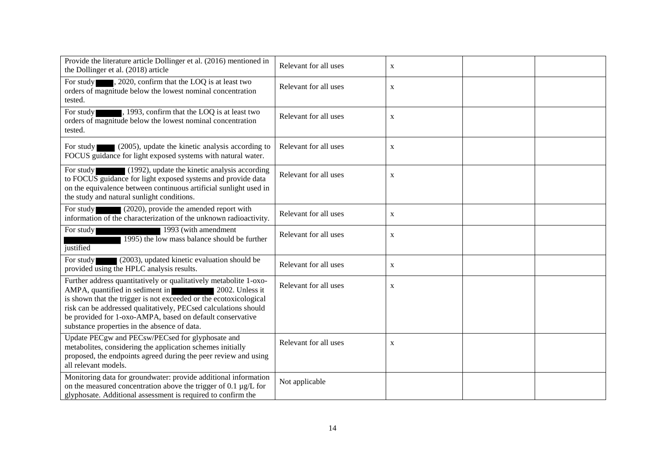| Provide the literature article Dollinger et al. (2016) mentioned in<br>the Dollinger et al. (2018) article                                                                                                                                                                                                                                                                   | Relevant for all uses | $\mathbf X$ |  |
|------------------------------------------------------------------------------------------------------------------------------------------------------------------------------------------------------------------------------------------------------------------------------------------------------------------------------------------------------------------------------|-----------------------|-------------|--|
| , 2020, confirm that the LOQ is at least two<br>For study<br>orders of magnitude below the lowest nominal concentration<br>tested.                                                                                                                                                                                                                                           | Relevant for all uses | X           |  |
| , 1993, confirm that the LOQ is at least two<br>For study<br>orders of magnitude below the lowest nominal concentration<br>tested.                                                                                                                                                                                                                                           | Relevant for all uses | X           |  |
| For study $(2005)$ , update the kinetic analysis according to<br>FOCUS guidance for light exposed systems with natural water.                                                                                                                                                                                                                                                | Relevant for all uses | X           |  |
| (1992), update the kinetic analysis according<br>For study<br>to FOCUS guidance for light exposed systems and provide data<br>on the equivalence between continuous artificial sunlight used in<br>the study and natural sunlight conditions.                                                                                                                                | Relevant for all uses | $\mathbf X$ |  |
| For study<br>(2020), provide the amended report with<br>information of the characterization of the unknown radioactivity.                                                                                                                                                                                                                                                    | Relevant for all uses | $\mathbf X$ |  |
| 1993 (with amendment<br>For study<br>1995) the low mass balance should be further<br>justified                                                                                                                                                                                                                                                                               | Relevant for all uses | $\mathbf X$ |  |
| (2003), updated kinetic evaluation should be<br>For study<br>provided using the HPLC analysis results.                                                                                                                                                                                                                                                                       | Relevant for all uses | X           |  |
| Further address quantitatively or qualitatively metabolite 1-oxo-<br>AMPA, quantified in sediment in<br>2002. Unless it<br>is shown that the trigger is not exceeded or the ecotoxicological<br>risk can be addressed qualitatively, PECsed calculations should<br>be provided for 1-oxo-AMPA, based on default conservative<br>substance properties in the absence of data. | Relevant for all uses | X           |  |
| Update PECgw and PECsw/PECsed for glyphosate and<br>metabolites, considering the application schemes initially<br>proposed, the endpoints agreed during the peer review and using<br>all relevant models.                                                                                                                                                                    | Relevant for all uses | $\mathbf X$ |  |
| Monitoring data for groundwater: provide additional information<br>on the measured concentration above the trigger of 0.1 $\mu$ g/L for<br>glyphosate. Additional assessment is required to confirm the                                                                                                                                                                      | Not applicable        |             |  |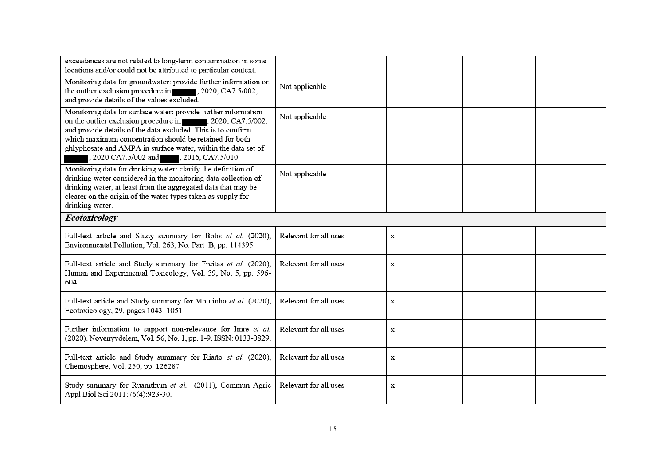| exceedances are not related to long-term contamination in some<br>locations and/or could not be attributed to particular context.                                                                                                                                                                                                                                 |                       |   |  |  |
|-------------------------------------------------------------------------------------------------------------------------------------------------------------------------------------------------------------------------------------------------------------------------------------------------------------------------------------------------------------------|-----------------------|---|--|--|
| Monitoring data for groundwater: provide further information on<br>the outlier exclusion procedure in , 2020, CA7.5/002,<br>and provide details of the values excluded.                                                                                                                                                                                           | Not applicable        |   |  |  |
| Monitoring data for surface water: provide further information<br>on the outlier exclusion procedure in<br>, 2020, CA7.5/002,<br>and provide details of the data excluded. This is to confirm<br>which maximum concentration should be retained for both<br>ghlyphosate and AMPA in surface water, within the data set of<br>2020 CA7.5/002 and , 2016, CA7.5/010 | Not applicable        |   |  |  |
| Monitoring data for drinking water: clarify the definition of<br>drinking water considered in the monitoring data collection of<br>drinking water, at least from the aggregated data that may be<br>clearer on the origin of the water types taken as supply for<br>drinking water.                                                                               | Not applicable        |   |  |  |
| <b>Ecotoxicology</b>                                                                                                                                                                                                                                                                                                                                              |                       |   |  |  |
| Full-text article and Study summary for Bolis et al. (2020),<br>Environmental Pollution, Vol. 263, No. Part_B, pp. 114395                                                                                                                                                                                                                                         | Relevant for all uses | X |  |  |
|                                                                                                                                                                                                                                                                                                                                                                   |                       |   |  |  |
| Full-text article and Study summary for Freitas et al. (2020),<br>Human and Experimental Toxicology, Vol. 39, No. 5, pp. 596-<br>604                                                                                                                                                                                                                              | Relevant for all uses | x |  |  |
| Full-text article and Study summary for Moutinho et al. (2020),<br>Ecotoxicology, 29, pages 1043-1051                                                                                                                                                                                                                                                             | Relevant for all uses | X |  |  |
| Further information to support non-relevance for Imre et al.<br>(2020), Novenyvdelem, Vol. 56, No. 1, pp. 1-9. ISSN: 0133-0829.                                                                                                                                                                                                                                   | Relevant for all uses | X |  |  |
| Full-text article and Study summary for Riaño et al. (2020),<br>Chemosphere, Vol. 250, pp. 126287                                                                                                                                                                                                                                                                 | Relevant for all uses | x |  |  |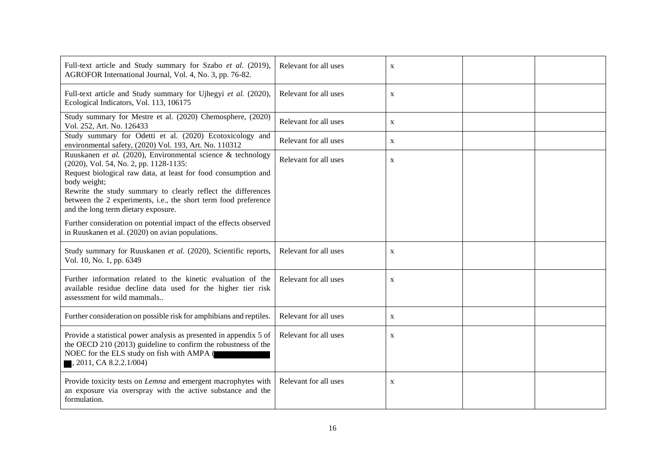| Full-text article and Study summary for Szabo et al. (2019),<br>AGROFOR International Journal, Vol. 4, No. 3, pp. 76-82.                                                                                                                                                                                                                                          | Relevant for all uses | X |  |
|-------------------------------------------------------------------------------------------------------------------------------------------------------------------------------------------------------------------------------------------------------------------------------------------------------------------------------------------------------------------|-----------------------|---|--|
| Full-text article and Study summary for Ujhegyi et al. (2020),<br>Ecological Indicators, Vol. 113, 106175                                                                                                                                                                                                                                                         | Relevant for all uses | X |  |
| Study summary for Mestre et al. (2020) Chemosphere, (2020)<br>Vol. 252, Art. No. 126433                                                                                                                                                                                                                                                                           | Relevant for all uses | X |  |
| Study summary for Odetti et al. (2020) Ecotoxicology and<br>environmental safety, (2020) Vol. 193, Art. No. 110312                                                                                                                                                                                                                                                | Relevant for all uses | X |  |
| Ruuskanen et al. (2020), Environmental science & technology<br>(2020), Vol. 54, No. 2, pp. 1128-1135:<br>Request biological raw data, at least for food consumption and<br>body weight;<br>Rewrite the study summary to clearly reflect the differences<br>between the 2 experiments, i.e., the short term food preference<br>and the long term dietary exposure. | Relevant for all uses | X |  |
| Further consideration on potential impact of the effects observed<br>in Ruuskanen et al. (2020) on avian populations.                                                                                                                                                                                                                                             |                       |   |  |
| Study summary for Ruuskanen et al. (2020), Scientific reports,<br>Vol. 10, No. 1, pp. 6349                                                                                                                                                                                                                                                                        | Relevant for all uses | X |  |
| Further information related to the kinetic evaluation of the<br>available residue decline data used for the higher tier risk<br>assessment for wild mammals                                                                                                                                                                                                       | Relevant for all uses | X |  |
| Further consideration on possible risk for amphibians and reptiles.                                                                                                                                                                                                                                                                                               | Relevant for all uses | X |  |
| Provide a statistical power analysis as presented in appendix 5 of<br>the OECD 210 (2013) guideline to confirm the robustness of the<br>NOEC for the ELS study on fish with AMPA (<br>, 2011, CA 8.2.2.1/004)                                                                                                                                                     | Relevant for all uses | X |  |
| Provide toxicity tests on Lemna and emergent macrophytes with<br>an exposure via overspray with the active substance and the<br>formulation.                                                                                                                                                                                                                      | Relevant for all uses | X |  |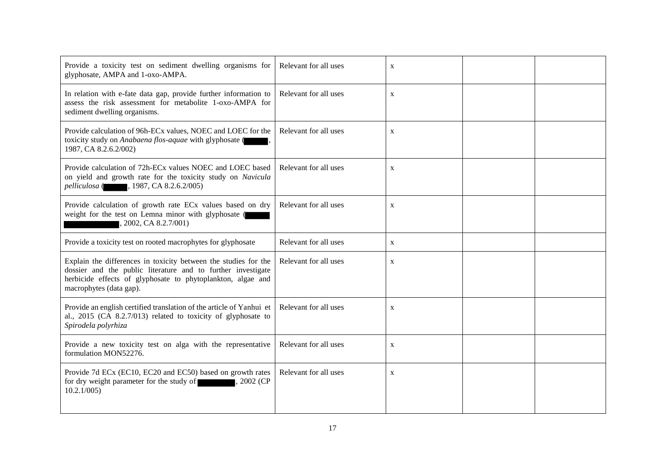| Provide a toxicity test on sediment dwelling organisms for<br>glyphosate, AMPA and 1-oxo-AMPA.                                                                                                                            | Relevant for all uses | X            |  |
|---------------------------------------------------------------------------------------------------------------------------------------------------------------------------------------------------------------------------|-----------------------|--------------|--|
| In relation with e-fate data gap, provide further information to<br>assess the risk assessment for metabolite 1-oxo-AMPA for<br>sediment dwelling organisms.                                                              | Relevant for all uses | $\mathbf{X}$ |  |
| Provide calculation of 96h-ECx values, NOEC and LOEC for the<br>toxicity study on Anabaena flos-aquae with glyphosate (<br>1987, CA 8.2.6.2/002)                                                                          | Relevant for all uses | X            |  |
| Provide calculation of 72h-EC <sub>x</sub> values NOEC and LOEC based<br>on yield and growth rate for the toxicity study on Navicula<br>pelliculosa (1987, CA 8.2.6.2/005)                                                | Relevant for all uses | X            |  |
| Provide calculation of growth rate ECx values based on dry<br>weight for the test on Lemna minor with glyphosate (<br>, 2002, CA 8.2.7/001)                                                                               | Relevant for all uses | X            |  |
| Provide a toxicity test on rooted macrophytes for glyphosate                                                                                                                                                              | Relevant for all uses | X            |  |
| Explain the differences in toxicity between the studies for the<br>dossier and the public literature and to further investigate<br>herbicide effects of glyphosate to phytoplankton, algae and<br>macrophytes (data gap). | Relevant for all uses | X            |  |
| Provide an english certified translation of the article of Yanhui et<br>al., 2015 (CA 8.2.7/013) related to toxicity of glyphosate to<br>Spirodela polyrhiza                                                              | Relevant for all uses | $\mathbf X$  |  |
| Provide a new toxicity test on alga with the representative<br>formulation MON52276.                                                                                                                                      | Relevant for all uses | X            |  |
| Provide 7d ECx (EC10, EC20 and EC50) based on growth rates<br>for dry weight parameter for the study of<br>2002 (CP)<br>10.2.1/005                                                                                        | Relevant for all uses | $\mathbf X$  |  |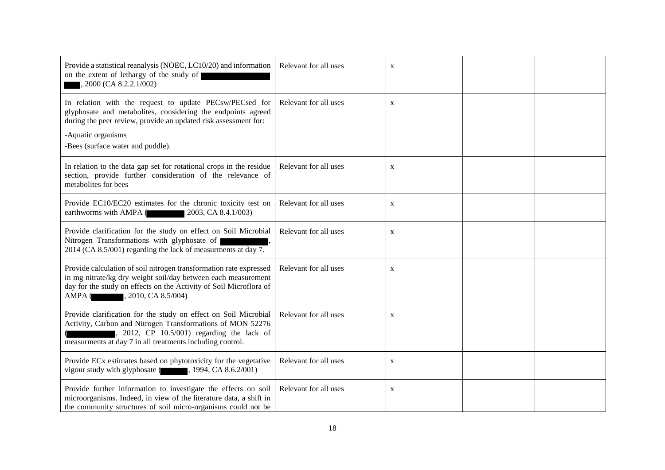| Provide a statistical reanalysis (NOEC, LC10/20) and information<br>on the extent of lethargy of the study of<br>2000 (CA 8.2.2.1/002)                                                                                                                | Relevant for all uses | X            |  |
|-------------------------------------------------------------------------------------------------------------------------------------------------------------------------------------------------------------------------------------------------------|-----------------------|--------------|--|
| In relation with the request to update PECsw/PECsed for<br>glyphosate and metabolites, considering the endpoints agreed<br>during the peer review, provide an updated risk assessment for:<br>-Aquatic organisms<br>-Bees (surface water and puddle). | Relevant for all uses | X            |  |
| In relation to the data gap set for rotational crops in the residue<br>section, provide further consideration of the relevance of<br>metabolites for bees                                                                                             | Relevant for all uses | X            |  |
| Provide EC10/EC20 estimates for the chronic toxicity test on<br>earthworms with AMPA (2003, CA 8.4.1/003)                                                                                                                                             | Relevant for all uses | X            |  |
| Provide clarification for the study on effect on Soil Microbial<br>Nitrogen Transformations with glyphosate of<br>2014 (CA 8.5/001) regarding the lack of measurments at day 7.                                                                       | Relevant for all uses | $\mathbf X$  |  |
| Provide calculation of soil nitrogen transformation rate expressed<br>in mg nitrate/kg dry weight soil/day between each measurement<br>day for the study on effects on the Activity of Soil Microflora of<br>AMPA (, 2010, CA 8.5/004)                | Relevant for all uses | $\mathbf X$  |  |
| Provide clarification for the study on effect on Soil Microbial<br>Activity, Carbon and Nitrogen Transformations of MON 52276<br>2012, CP $10.5/001$ ) regarding the lack of<br>measurments at day 7 in all treatments including control.             | Relevant for all uses | $\mathbf{X}$ |  |
| Provide ECx estimates based on phytotoxicity for the vegetative<br>vigour study with glyphosate (1994, CA 8.6.2/001)                                                                                                                                  | Relevant for all uses | $\mathbf X$  |  |
| Provide further information to investigate the effects on soil<br>microorganisms. Indeed, in view of the literature data, a shift in<br>the community structures of soil micro-organisms could not be                                                 | Relevant for all uses | X            |  |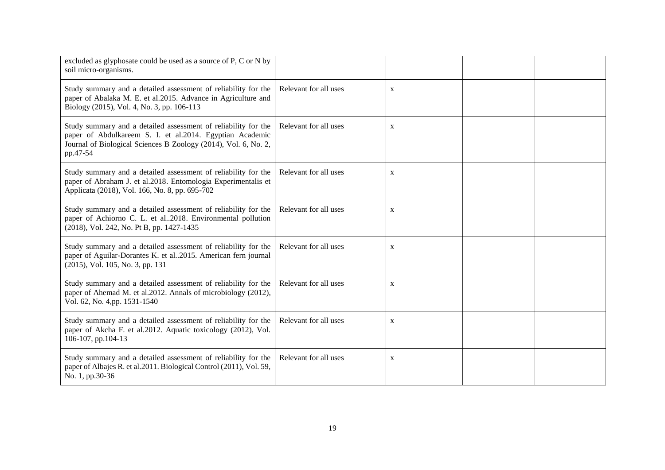| excluded as glyphosate could be used as a source of P, C or N by<br>soil micro-organisms.                                                                                                                 |                       |              |  |
|-----------------------------------------------------------------------------------------------------------------------------------------------------------------------------------------------------------|-----------------------|--------------|--|
| Study summary and a detailed assessment of reliability for the<br>paper of Abalaka M. E. et al.2015. Advance in Agriculture and<br>Biology (2015), Vol. 4, No. 3, pp. 106-113                             | Relevant for all uses | $\mathbf X$  |  |
| Study summary and a detailed assessment of reliability for the<br>paper of Abdulkareem S. I. et al.2014. Egyptian Academic<br>Journal of Biological Sciences B Zoology (2014), Vol. 6, No. 2,<br>pp.47-54 | Relevant for all uses | $\mathbf X$  |  |
| Study summary and a detailed assessment of reliability for the<br>paper of Abraham J. et al.2018. Entomologia Experimentalis et<br>Applicata (2018), Vol. 166, No. 8, pp. 695-702                         | Relevant for all uses | $\mathbf X$  |  |
| Study summary and a detailed assessment of reliability for the<br>paper of Achiorno C. L. et al2018. Environmental pollution<br>(2018), Vol. 242, No. Pt B, pp. 1427-1435                                 | Relevant for all uses | X            |  |
| Study summary and a detailed assessment of reliability for the<br>paper of Aguilar-Dorantes K. et al2015. American fern journal<br>(2015), Vol. 105, No. 3, pp. 131                                       | Relevant for all uses | $\mathbf X$  |  |
| Study summary and a detailed assessment of reliability for the<br>paper of Ahemad M. et al.2012. Annals of microbiology (2012),<br>Vol. 62, No. 4,pp. 1531-1540                                           | Relevant for all uses | $\mathbf{X}$ |  |
| Study summary and a detailed assessment of reliability for the<br>paper of Akcha F. et al.2012. Aquatic toxicology (2012), Vol.<br>106-107, pp.104-13                                                     | Relevant for all uses | X            |  |
| Study summary and a detailed assessment of reliability for the<br>paper of Albajes R. et al.2011. Biological Control (2011), Vol. 59,<br>No. 1, pp.30-36                                                  | Relevant for all uses | X            |  |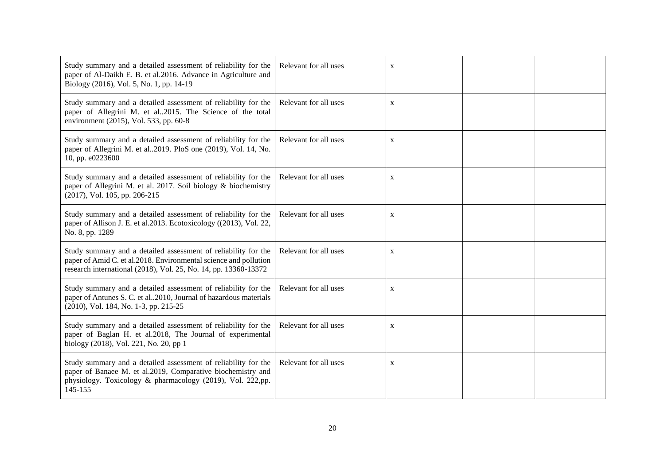| Study summary and a detailed assessment of reliability for the<br>paper of Al-Daikh E. B. et al.2016. Advance in Agriculture and<br>Biology (2016), Vol. 5, No. 1, pp. 14-19                           | Relevant for all uses | $\mathbf X$  |  |
|--------------------------------------------------------------------------------------------------------------------------------------------------------------------------------------------------------|-----------------------|--------------|--|
| Study summary and a detailed assessment of reliability for the<br>paper of Allegrini M. et al2015. The Science of the total<br>environment (2015), Vol. 533, pp. 60-8                                  | Relevant for all uses | $\mathbf X$  |  |
| Study summary and a detailed assessment of reliability for the<br>paper of Allegrini M. et al2019. PloS one (2019), Vol. 14, No.<br>10, pp. e0223600                                                   | Relevant for all uses | $\mathbf X$  |  |
| Study summary and a detailed assessment of reliability for the<br>paper of Allegrini M. et al. 2017. Soil biology & biochemistry<br>(2017), Vol. 105, pp. 206-215                                      | Relevant for all uses | $\mathbf{X}$ |  |
| Study summary and a detailed assessment of reliability for the<br>paper of Allison J. E. et al.2013. Ecotoxicology ((2013), Vol. 22,<br>No. 8, pp. 1289                                                | Relevant for all uses | X            |  |
| Study summary and a detailed assessment of reliability for the<br>paper of Amid C. et al.2018. Environmental science and pollution<br>research international (2018), Vol. 25, No. 14, pp. 13360-13372  | Relevant for all uses | $\mathbf X$  |  |
| Study summary and a detailed assessment of reliability for the<br>paper of Antunes S. C. et al2010, Journal of hazardous materials<br>(2010), Vol. 184, No. 1-3, pp. 215-25                            | Relevant for all uses | $\mathbf X$  |  |
| Study summary and a detailed assessment of reliability for the<br>paper of Baglan H. et al.2018, The Journal of experimental<br>biology (2018), Vol. 221, No. 20, pp 1                                 | Relevant for all uses | $\mathbf X$  |  |
| Study summary and a detailed assessment of reliability for the<br>paper of Banaee M. et al.2019, Comparative biochemistry and<br>physiology. Toxicology & pharmacology (2019), Vol. 222,pp.<br>145-155 | Relevant for all uses | $\mathbf{X}$ |  |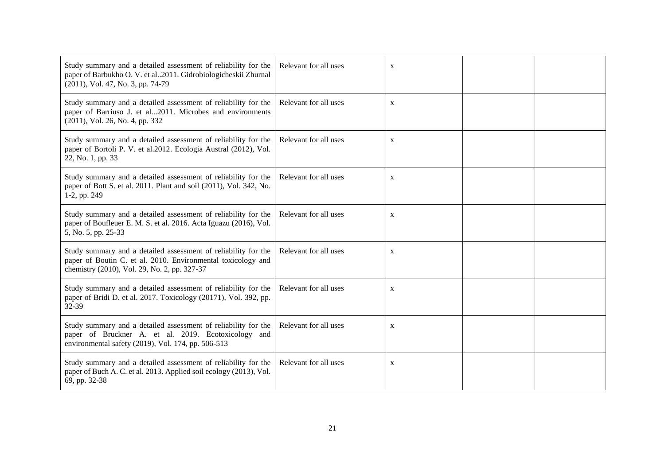| Study summary and a detailed assessment of reliability for the<br>paper of Barbukho O. V. et al2011. Gidrobiologicheskii Zhurnal<br>(2011), Vol. 47, No. 3, pp. 74-79          | Relevant for all uses | $\mathbf X$  |  |
|--------------------------------------------------------------------------------------------------------------------------------------------------------------------------------|-----------------------|--------------|--|
| Study summary and a detailed assessment of reliability for the<br>paper of Barriuso J. et al2011. Microbes and environments<br>(2011), Vol. 26, No. 4, pp. 332                 | Relevant for all uses | X            |  |
| Study summary and a detailed assessment of reliability for the<br>paper of Bortoli P. V. et al.2012. Ecologia Austral (2012), Vol.<br>22, No. 1, pp. 33                        | Relevant for all uses | X            |  |
| Study summary and a detailed assessment of reliability for the<br>paper of Bott S. et al. 2011. Plant and soil (2011), Vol. 342, No.<br>1-2, pp. 249                           | Relevant for all uses | $\mathbf X$  |  |
| Study summary and a detailed assessment of reliability for the<br>paper of Boufleuer E. M. S. et al. 2016. Acta Iguazu (2016), Vol.<br>5, No. 5, pp. 25-33                     | Relevant for all uses | X            |  |
| Study summary and a detailed assessment of reliability for the<br>paper of Boutin C. et al. 2010. Environmental toxicology and<br>chemistry (2010), Vol. 29, No. 2, pp. 327-37 | Relevant for all uses | $\mathbf{X}$ |  |
| Study summary and a detailed assessment of reliability for the<br>paper of Bridi D. et al. 2017. Toxicology (20171), Vol. 392, pp.<br>32-39                                    | Relevant for all uses | $\mathbf X$  |  |
| Study summary and a detailed assessment of reliability for the<br>paper of Bruckner A. et al. 2019. Ecotoxicology and<br>environmental safety (2019), Vol. 174, pp. 506-513    | Relevant for all uses | $\mathbf X$  |  |
| Study summary and a detailed assessment of reliability for the<br>paper of Buch A. C. et al. 2013. Applied soil ecology (2013), Vol.<br>69, pp. 32-38                          | Relevant for all uses | $\mathbf X$  |  |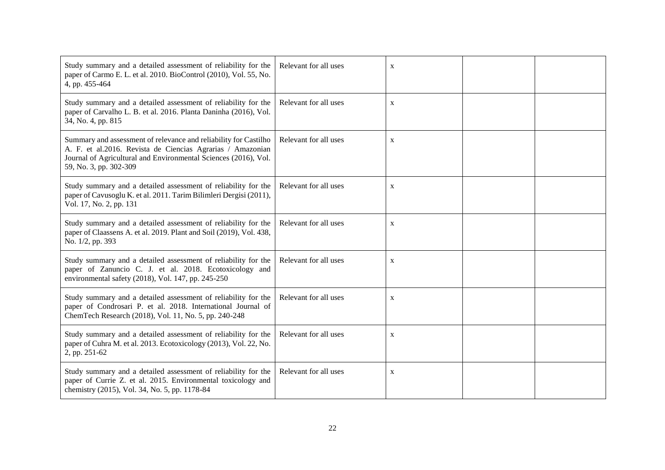| Study summary and a detailed assessment of reliability for the<br>paper of Carmo E. L. et al. 2010. BioControl (2010), Vol. 55, No.<br>4, pp. 455-464                                                                       | Relevant for all uses | $\mathbf X$  |  |
|-----------------------------------------------------------------------------------------------------------------------------------------------------------------------------------------------------------------------------|-----------------------|--------------|--|
| Study summary and a detailed assessment of reliability for the<br>paper of Carvalho L. B. et al. 2016. Planta Daninha (2016), Vol.<br>34, No. 4, pp. 815                                                                    | Relevant for all uses | $\mathbf X$  |  |
| Summary and assessment of relevance and reliability for Castilho<br>A. F. et al.2016. Revista de Ciencias Agrarias / Amazonian<br>Journal of Agricultural and Environmental Sciences (2016), Vol.<br>59, No. 3, pp. 302-309 | Relevant for all uses | $\mathbf{X}$ |  |
| Study summary and a detailed assessment of reliability for the<br>paper of Cavusoglu K. et al. 2011. Tarim Bilimleri Dergisi (2011),<br>Vol. 17, No. 2, pp. 131                                                             | Relevant for all uses | $\mathbf X$  |  |
| Study summary and a detailed assessment of reliability for the<br>paper of Claassens A. et al. 2019. Plant and Soil (2019), Vol. 438,<br>No. 1/2, pp. 393                                                                   | Relevant for all uses | $\mathbf X$  |  |
| Study summary and a detailed assessment of reliability for the<br>paper of Zanuncio C. J. et al. 2018. Ecotoxicology and<br>environmental safety (2018), Vol. 147, pp. 245-250                                              | Relevant for all uses | $\mathbf X$  |  |
| Study summary and a detailed assessment of reliability for the<br>paper of Condrosari P. et al. 2018. International Journal of<br>ChemTech Research (2018), Vol. 11, No. 5, pp. 240-248                                     | Relevant for all uses | $\mathbf X$  |  |
| Study summary and a detailed assessment of reliability for the<br>paper of Cuhra M. et al. 2013. Ecotoxicology (2013), Vol. 22, No.<br>2, pp. 251-62                                                                        | Relevant for all uses | X            |  |
| Study summary and a detailed assessment of reliability for the<br>paper of Currie Z. et al. 2015. Environmental toxicology and<br>chemistry (2015), Vol. 34, No. 5, pp. 1178-84                                             | Relevant for all uses | X            |  |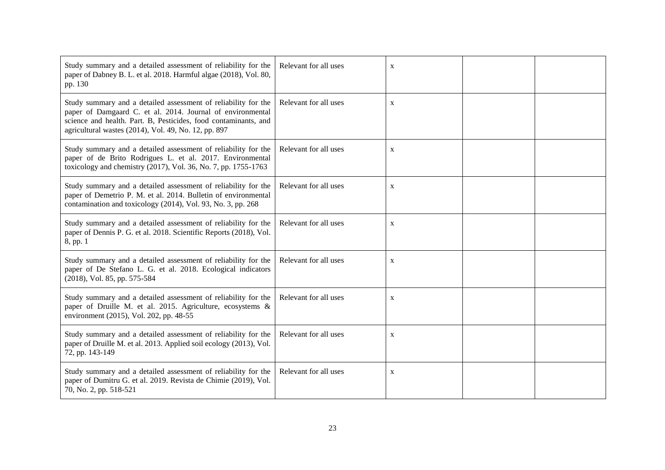| Study summary and a detailed assessment of reliability for the<br>paper of Dabney B. L. et al. 2018. Harmful algae (2018), Vol. 80,<br>pp. 130                                                                                                          | Relevant for all uses | $\mathbf X$ |  |
|---------------------------------------------------------------------------------------------------------------------------------------------------------------------------------------------------------------------------------------------------------|-----------------------|-------------|--|
| Study summary and a detailed assessment of reliability for the<br>paper of Damgaard C. et al. 2014. Journal of environmental<br>science and health. Part. B, Pesticides, food contaminants, and<br>agricultural wastes (2014), Vol. 49, No. 12, pp. 897 | Relevant for all uses | $\mathbf X$ |  |
| Study summary and a detailed assessment of reliability for the<br>paper of de Brito Rodrigues L. et al. 2017. Environmental<br>toxicology and chemistry (2017), Vol. 36, No. 7, pp. 1755-1763                                                           | Relevant for all uses | $\mathbf X$ |  |
| Study summary and a detailed assessment of reliability for the<br>paper of Demetrio P. M. et al. 2014. Bulletin of environmental<br>contamination and toxicology (2014), Vol. 93, No. 3, pp. 268                                                        | Relevant for all uses | $\mathbf X$ |  |
| Study summary and a detailed assessment of reliability for the<br>paper of Dennis P. G. et al. 2018. Scientific Reports (2018), Vol.<br>8, pp. 1                                                                                                        | Relevant for all uses | $\mathbf X$ |  |
| Study summary and a detailed assessment of reliability for the<br>paper of De Stefano L. G. et al. 2018. Ecological indicators<br>(2018), Vol. 85, pp. 575-584                                                                                          | Relevant for all uses | $\mathbf X$ |  |
| Study summary and a detailed assessment of reliability for the<br>paper of Druille M. et al. 2015. Agriculture, ecosystems &<br>environment (2015), Vol. 202, pp. 48-55                                                                                 | Relevant for all uses | $\mathbf X$ |  |
| Study summary and a detailed assessment of reliability for the<br>paper of Druille M. et al. 2013. Applied soil ecology (2013), Vol.<br>72, pp. 143-149                                                                                                 | Relevant for all uses | X           |  |
| Study summary and a detailed assessment of reliability for the<br>paper of Dumitru G. et al. 2019. Revista de Chimie (2019), Vol.<br>70, No. 2, pp. 518-521                                                                                             | Relevant for all uses | X           |  |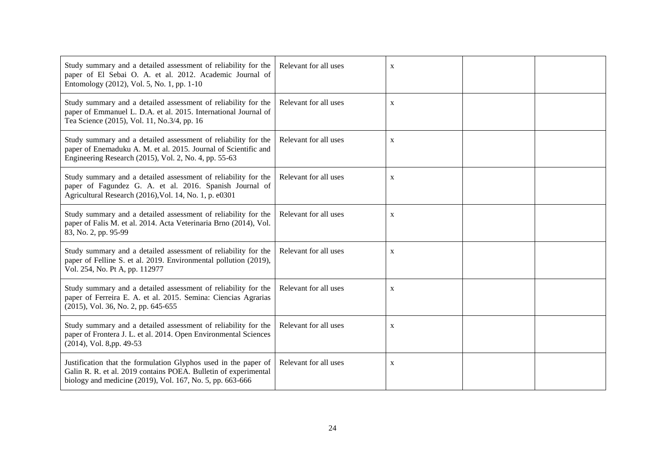| Study summary and a detailed assessment of reliability for the<br>paper of El Sebai O. A. et al. 2012. Academic Journal of<br>Entomology (2012), Vol. 5, No. 1, pp. 1-10                        | Relevant for all uses | X            |  |
|-------------------------------------------------------------------------------------------------------------------------------------------------------------------------------------------------|-----------------------|--------------|--|
| Study summary and a detailed assessment of reliability for the<br>paper of Emmanuel L. D.A. et al. 2015. International Journal of<br>Tea Science (2015), Vol. 11, No.3/4, pp. 16                | Relevant for all uses | X            |  |
| Study summary and a detailed assessment of reliability for the<br>paper of Enemaduku A. M. et al. 2015. Journal of Scientific and<br>Engineering Research (2015), Vol. 2, No. 4, pp. 55-63      | Relevant for all uses | $\mathbf X$  |  |
| Study summary and a detailed assessment of reliability for the<br>paper of Fagundez G. A. et al. 2016. Spanish Journal of<br>Agricultural Research (2016), Vol. 14, No. 1, p. e0301             | Relevant for all uses | $\mathbf X$  |  |
| Study summary and a detailed assessment of reliability for the<br>paper of Falis M. et al. 2014. Acta Veterinaria Brno (2014), Vol.<br>83, No. 2, pp. 95-99                                     | Relevant for all uses | $\mathbf X$  |  |
| Study summary and a detailed assessment of reliability for the<br>paper of Felline S. et al. 2019. Environmental pollution (2019),<br>Vol. 254, No. Pt A, pp. 112977                            | Relevant for all uses | $\mathbf{X}$ |  |
| Study summary and a detailed assessment of reliability for the<br>paper of Ferreira E. A. et al. 2015. Semina: Ciencias Agrarias<br>(2015), Vol. 36, No. 2, pp. 645-655                         | Relevant for all uses | $\mathbf{X}$ |  |
| Study summary and a detailed assessment of reliability for the<br>paper of Frontera J. L. et al. 2014. Open Environmental Sciences<br>$(2014)$ , Vol. 8,pp. 49-53                               | Relevant for all uses | $\mathbf X$  |  |
| Justification that the formulation Glyphos used in the paper of<br>Galin R. R. et al. 2019 contains POEA. Bulletin of experimental<br>biology and medicine (2019), Vol. 167, No. 5, pp. 663-666 | Relevant for all uses | X            |  |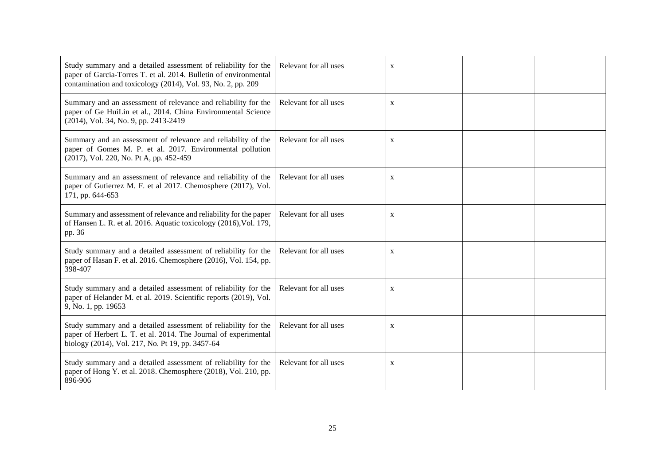| Study summary and a detailed assessment of reliability for the<br>paper of Garcia-Torres T. et al. 2014. Bulletin of environmental<br>contamination and toxicology (2014), Vol. 93, No. 2, pp. 209 | Relevant for all uses | X            |  |
|----------------------------------------------------------------------------------------------------------------------------------------------------------------------------------------------------|-----------------------|--------------|--|
| Summary and an assessment of relevance and reliability for the<br>paper of Ge HuiLin et al., 2014. China Environmental Science<br>(2014), Vol. 34, No. 9, pp. 2413-2419                            | Relevant for all uses | X            |  |
| Summary and an assessment of relevance and reliability of the<br>paper of Gomes M. P. et al. 2017. Environmental pollution<br>(2017), Vol. 220, No. Pt A, pp. 452-459                              | Relevant for all uses | X            |  |
| Summary and an assessment of relevance and reliability of the<br>paper of Gutierrez M. F. et al 2017. Chemosphere (2017), Vol.<br>171, pp. 644-653                                                 | Relevant for all uses | $\mathbf X$  |  |
| Summary and assessment of relevance and reliability for the paper<br>of Hansen L. R. et al. 2016. Aquatic toxicology (2016), Vol. 179,<br>pp. 36                                                   | Relevant for all uses | X            |  |
| Study summary and a detailed assessment of reliability for the<br>paper of Hasan F. et al. 2016. Chemosphere (2016), Vol. 154, pp.<br>398-407                                                      | Relevant for all uses | $\mathbf{X}$ |  |
| Study summary and a detailed assessment of reliability for the<br>paper of Helander M. et al. 2019. Scientific reports (2019), Vol.<br>9, No. 1, pp. 19653                                         | Relevant for all uses | $\mathbf X$  |  |
| Study summary and a detailed assessment of reliability for the<br>paper of Herbert L. T. et al. 2014. The Journal of experimental<br>biology (2014), Vol. 217, No. Pt 19, pp. 3457-64              | Relevant for all uses | $\mathbf X$  |  |
| Study summary and a detailed assessment of reliability for the<br>paper of Hong Y. et al. 2018. Chemosphere (2018), Vol. 210, pp.<br>896-906                                                       | Relevant for all uses | $\mathbf X$  |  |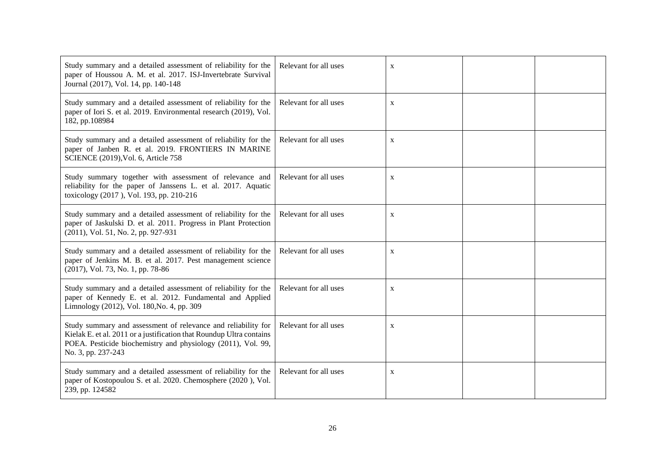| Study summary and a detailed assessment of reliability for the<br>paper of Houssou A. M. et al. 2017. ISJ-Invertebrate Survival<br>Journal (2017), Vol. 14, pp. 140-148                                                     | Relevant for all uses | $\mathbf X$  |  |
|-----------------------------------------------------------------------------------------------------------------------------------------------------------------------------------------------------------------------------|-----------------------|--------------|--|
| Study summary and a detailed assessment of reliability for the<br>paper of Iori S. et al. 2019. Environmental research (2019), Vol.<br>182, pp.108984                                                                       | Relevant for all uses | $\mathbf X$  |  |
| Study summary and a detailed assessment of reliability for the<br>paper of Janben R. et al. 2019. FRONTIERS IN MARINE<br>SCIENCE (2019), Vol. 6, Article 758                                                                | Relevant for all uses | $\mathbf{X}$ |  |
| Study summary together with assessment of relevance and<br>reliability for the paper of Janssens L. et al. 2017. Aquatic<br>toxicology (2017), Vol. 193, pp. 210-216                                                        | Relevant for all uses | X            |  |
| Study summary and a detailed assessment of reliability for the<br>paper of Jaskulski D. et al. 2011. Progress in Plant Protection<br>(2011), Vol. 51, No. 2, pp. 927-931                                                    | Relevant for all uses | X            |  |
| Study summary and a detailed assessment of reliability for the<br>paper of Jenkins M. B. et al. 2017. Pest management science<br>(2017), Vol. 73, No. 1, pp. 78-86                                                          | Relevant for all uses | X            |  |
| Study summary and a detailed assessment of reliability for the<br>paper of Kennedy E. et al. 2012. Fundamental and Applied<br>Limnology (2012), Vol. 180, No. 4, pp. 309                                                    | Relevant for all uses | X            |  |
| Study summary and assessment of relevance and reliability for<br>Kielak E. et al. 2011 or a justification that Roundup Ultra contains<br>POEA. Pesticide biochemistry and physiology (2011), Vol. 99,<br>No. 3, pp. 237-243 | Relevant for all uses | $\mathbf X$  |  |
| Study summary and a detailed assessment of reliability for the<br>paper of Kostopoulou S. et al. 2020. Chemosphere (2020), Vol.<br>239, pp. 124582                                                                          | Relevant for all uses | X            |  |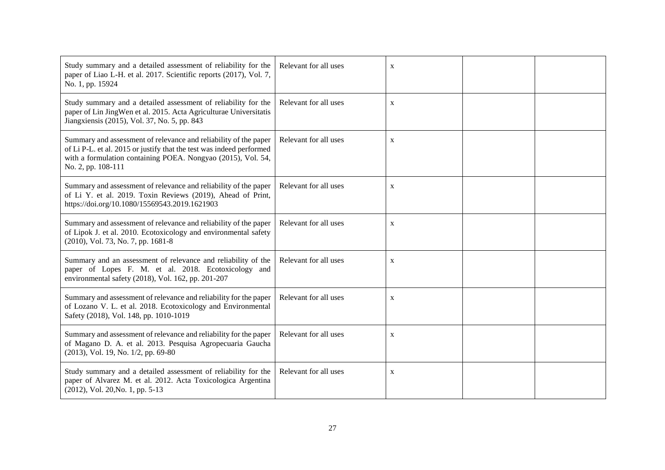| Study summary and a detailed assessment of reliability for the<br>paper of Liao L-H. et al. 2017. Scientific reports (2017), Vol. 7,<br>No. 1, pp. 15924                                                                       | Relevant for all uses | $\mathbf X$ |  |
|--------------------------------------------------------------------------------------------------------------------------------------------------------------------------------------------------------------------------------|-----------------------|-------------|--|
| Study summary and a detailed assessment of reliability for the<br>paper of Lin JingWen et al. 2015. Acta Agriculturae Universitatis<br>Jiangxiensis (2015), Vol. 37, No. 5, pp. 843                                            | Relevant for all uses | $\mathbf X$ |  |
| Summary and assessment of relevance and reliability of the paper<br>of Li P-L. et al. 2015 or justify that the test was indeed performed<br>with a formulation containing POEA. Nongyao (2015), Vol. 54,<br>No. 2, pp. 108-111 | Relevant for all uses | $\mathbf X$ |  |
| Summary and assessment of relevance and reliability of the paper<br>of Li Y. et al. 2019. Toxin Reviews (2019), Ahead of Print,<br>https://doi.org/10.1080/15569543.2019.1621903                                               | Relevant for all uses | $\mathbf X$ |  |
| Summary and assessment of relevance and reliability of the paper<br>of Lipok J. et al. 2010. Ecotoxicology and environmental safety<br>(2010), Vol. 73, No. 7, pp. 1681-8                                                      | Relevant for all uses | X           |  |
| Summary and an assessment of relevance and reliability of the<br>paper of Lopes F. M. et al. 2018. Ecotoxicology and<br>environmental safety (2018), Vol. 162, pp. 201-207                                                     | Relevant for all uses | X           |  |
| Summary and assessment of relevance and reliability for the paper<br>of Lozano V. L. et al. 2018. Ecotoxicology and Environmental<br>Safety (2018), Vol. 148, pp. 1010-1019                                                    | Relevant for all uses | $\mathbf X$ |  |
| Summary and assessment of relevance and reliability for the paper<br>of Magano D. A. et al. 2013. Pesquisa Agropecuaria Gaucha<br>(2013), Vol. 19, No. 1/2, pp. 69-80                                                          | Relevant for all uses | X           |  |
| Study summary and a detailed assessment of reliability for the<br>paper of Alvarez M. et al. 2012. Acta Toxicologica Argentina<br>(2012), Vol. 20, No. 1, pp. 5-13                                                             | Relevant for all uses | X           |  |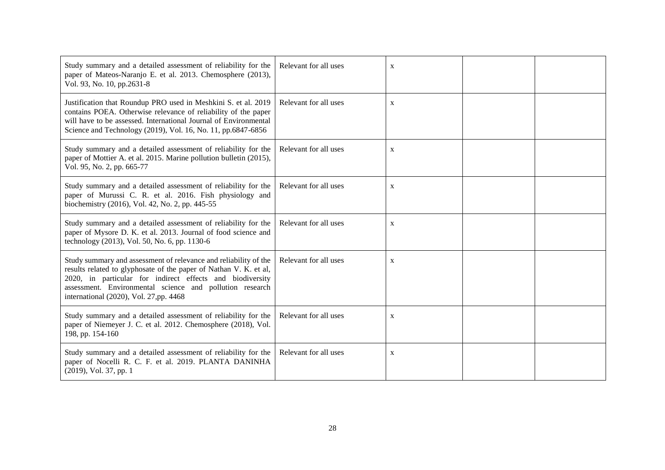| Study summary and a detailed assessment of reliability for the<br>paper of Mateos-Naranjo E. et al. 2013. Chemosphere (2013),<br>Vol. 93, No. 10, pp.2631-8                                                                                                                                              | Relevant for all uses | X            |  |
|----------------------------------------------------------------------------------------------------------------------------------------------------------------------------------------------------------------------------------------------------------------------------------------------------------|-----------------------|--------------|--|
| Justification that Roundup PRO used in Meshkini S. et al. 2019<br>contains POEA. Otherwise relevance of reliability of the paper<br>will have to be assessed. International Journal of Environmental<br>Science and Technology (2019), Vol. 16, No. 11, pp.6847-6856                                     | Relevant for all uses | $\mathbf X$  |  |
| Study summary and a detailed assessment of reliability for the<br>paper of Mottier A. et al. 2015. Marine pollution bulletin (2015),<br>Vol. 95, No. 2, pp. 665-77                                                                                                                                       | Relevant for all uses | X            |  |
| Study summary and a detailed assessment of reliability for the<br>paper of Murussi C. R. et al. 2016. Fish physiology and<br>biochemistry (2016), Vol. 42, No. 2, pp. 445-55                                                                                                                             | Relevant for all uses | X            |  |
| Study summary and a detailed assessment of reliability for the<br>paper of Mysore D. K. et al. 2013. Journal of food science and<br>technology (2013), Vol. 50, No. 6, pp. 1130-6                                                                                                                        | Relevant for all uses | $\mathbf{X}$ |  |
| Study summary and assessment of relevance and reliability of the<br>results related to glyphosate of the paper of Nathan V. K. et al,<br>2020, in particular for indirect effects and biodiversity<br>assessment. Environmental science and pollution research<br>international (2020), Vol. 27,pp. 4468 | Relevant for all uses | $\mathbf X$  |  |
| Study summary and a detailed assessment of reliability for the<br>paper of Niemeyer J. C. et al. 2012. Chemosphere (2018), Vol.<br>198, pp. 154-160                                                                                                                                                      | Relevant for all uses | $\mathbf X$  |  |
| Study summary and a detailed assessment of reliability for the<br>paper of Nocelli R. C. F. et al. 2019. PLANTA DANINHA<br>(2019), Vol. 37, pp. 1                                                                                                                                                        | Relevant for all uses | X            |  |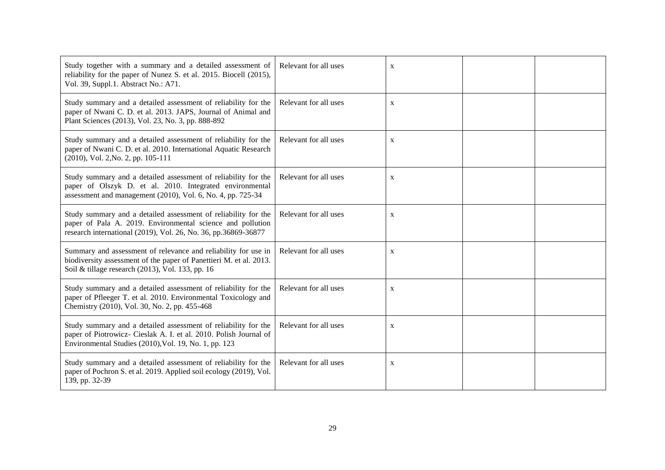| Study together with a summary and a detailed assessment of<br>reliability for the paper of Nunez S. et al. 2015. Biocell (2015),<br>Vol. 39, Suppl.1. Abstract No.: A71.                       | Relevant for all uses | X            |  |
|------------------------------------------------------------------------------------------------------------------------------------------------------------------------------------------------|-----------------------|--------------|--|
| Study summary and a detailed assessment of reliability for the<br>paper of Nwani C. D. et al. 2013. JAPS, Journal of Animal and<br>Plant Sciences (2013), Vol. 23, No. 3, pp. 888-892          | Relevant for all uses | X            |  |
| Study summary and a detailed assessment of reliability for the<br>paper of Nwani C. D. et al. 2010. International Aquatic Research<br>(2010), Vol. 2, No. 2, pp. 105-111                       | Relevant for all uses | X            |  |
| Study summary and a detailed assessment of reliability for the<br>paper of Olszyk D. et al. 2010. Integrated environmental<br>assessment and management (2010), Vol. 6, No. 4, pp. 725-34      | Relevant for all uses | $\mathbf X$  |  |
| Study summary and a detailed assessment of reliability for the<br>paper of Pala A. 2019. Environmental science and pollution<br>research international (2019), Vol. 26, No. 36, pp.36869-36877 | Relevant for all uses | X            |  |
| Summary and assessment of relevance and reliability for use in<br>biodiversity assessment of the paper of Panettieri M. et al. 2013.<br>Soil & tillage research (2013), Vol. 133, pp. 16       | Relevant for all uses | $\mathbf{X}$ |  |
| Study summary and a detailed assessment of reliability for the<br>paper of Pfleeger T. et al. 2010. Environmental Toxicology and<br>Chemistry (2010), Vol. 30, No. 2, pp. 455-468              | Relevant for all uses | $\mathbf X$  |  |
| Study summary and a detailed assessment of reliability for the<br>paper of Piotrowicz- Cieslak A. I. et al. 2010. Polish Journal of<br>Environmental Studies (2010), Vol. 19, No. 1, pp. 123   | Relevant for all uses | $\mathbf X$  |  |
| Study summary and a detailed assessment of reliability for the<br>paper of Pochron S. et al. 2019. Applied soil ecology (2019), Vol.<br>139, pp. 32-39                                         | Relevant for all uses | $\mathbf X$  |  |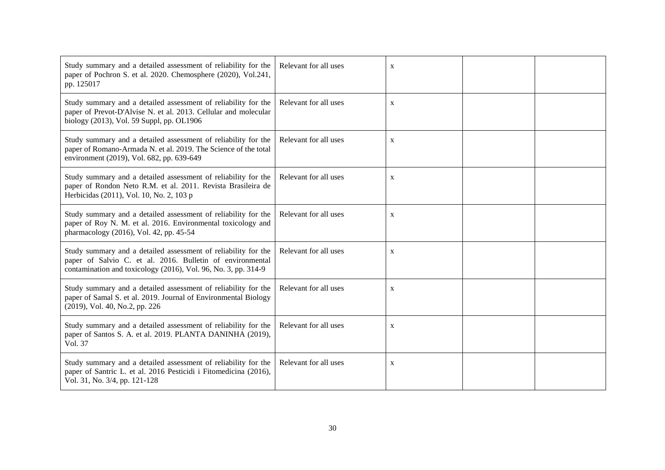| Study summary and a detailed assessment of reliability for the<br>paper of Pochron S. et al. 2020. Chemosphere (2020), Vol.241,<br>pp. 125017                                                 | Relevant for all uses | $\mathbf X$  |  |
|-----------------------------------------------------------------------------------------------------------------------------------------------------------------------------------------------|-----------------------|--------------|--|
| Study summary and a detailed assessment of reliability for the<br>paper of Prevot-D'Alvise N. et al. 2013. Cellular and molecular<br>biology (2013), Vol. 59 Suppl, pp. OL1906                | Relevant for all uses | $\mathbf X$  |  |
| Study summary and a detailed assessment of reliability for the<br>paper of Romano-Armada N. et al. 2019. The Science of the total<br>environment (2019), Vol. 682, pp. 639-649                | Relevant for all uses | $\mathbf{X}$ |  |
| Study summary and a detailed assessment of reliability for the<br>paper of Rondon Neto R.M. et al. 2011. Revista Brasileira de<br>Herbicidas (2011), Vol. 10, No. 2, 103 p                    | Relevant for all uses | X            |  |
| Study summary and a detailed assessment of reliability for the<br>paper of Roy N. M. et al. 2016. Environmental toxicology and<br>pharmacology (2016), Vol. 42, pp. 45-54                     | Relevant for all uses | X            |  |
| Study summary and a detailed assessment of reliability for the<br>paper of Salvio C. et al. 2016. Bulletin of environmental<br>contamination and toxicology (2016), Vol. 96, No. 3, pp. 314-9 | Relevant for all uses | $\mathbf{X}$ |  |
| Study summary and a detailed assessment of reliability for the<br>paper of Samal S. et al. 2019. Journal of Environmental Biology<br>(2019), Vol. 40, No.2, pp. 226                           | Relevant for all uses | X            |  |
| Study summary and a detailed assessment of reliability for the<br>paper of Santos S. A. et al. 2019. PLANTA DANINHA (2019),<br>Vol. 37                                                        | Relevant for all uses | $\mathbf X$  |  |
| Study summary and a detailed assessment of reliability for the<br>paper of Santric L. et al. 2016 Pesticidi i Fitomedicina (2016),<br>Vol. 31, No. 3/4, pp. 121-128                           | Relevant for all uses | $\mathbf X$  |  |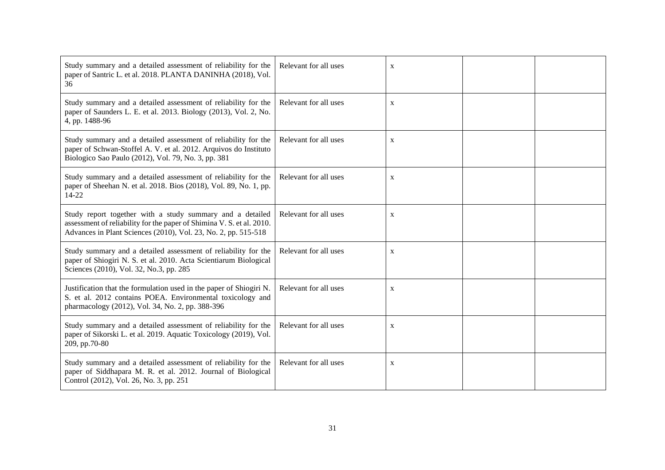| Study summary and a detailed assessment of reliability for the<br>paper of Santric L. et al. 2018. PLANTA DANINHA (2018), Vol.<br>36                                                                 | Relevant for all uses | $\mathbf X$ |  |
|------------------------------------------------------------------------------------------------------------------------------------------------------------------------------------------------------|-----------------------|-------------|--|
| Study summary and a detailed assessment of reliability for the<br>paper of Saunders L. E. et al. 2013. Biology (2013), Vol. 2, No.<br>4, pp. 1488-96                                                 | Relevant for all uses | X           |  |
| Study summary and a detailed assessment of reliability for the<br>paper of Schwan-Stoffel A. V. et al. 2012. Arquivos do Instituto<br>Biologico Sao Paulo (2012), Vol. 79, No. 3, pp. 381            | Relevant for all uses | X           |  |
| Study summary and a detailed assessment of reliability for the<br>paper of Sheehan N. et al. 2018. Bios (2018), Vol. 89, No. 1, pp.<br>$14 - 22$                                                     | Relevant for all uses | $\mathbf X$ |  |
| Study report together with a study summary and a detailed<br>assessment of reliability for the paper of Shimina V. S. et al. 2010.<br>Advances in Plant Sciences (2010), Vol. 23, No. 2, pp. 515-518 | Relevant for all uses | X           |  |
| Study summary and a detailed assessment of reliability for the<br>paper of Shiogiri N. S. et al. 2010. Acta Scientiarum Biological<br>Sciences (2010), Vol. 32, No.3, pp. 285                        | Relevant for all uses | X           |  |
| Justification that the formulation used in the paper of Shiogiri N.<br>S. et al. 2012 contains POEA. Environmental toxicology and<br>pharmacology (2012), Vol. 34, No. 2, pp. 388-396                | Relevant for all uses | $\mathbf X$ |  |
| Study summary and a detailed assessment of reliability for the<br>paper of Sikorski L. et al. 2019. Aquatic Toxicology (2019), Vol.<br>209, pp.70-80                                                 | Relevant for all uses | $\mathbf X$ |  |
| Study summary and a detailed assessment of reliability for the<br>paper of Siddhapara M. R. et al. 2012. Journal of Biological<br>Control (2012), Vol. 26, No. 3, pp. 251                            | Relevant for all uses | $\mathbf X$ |  |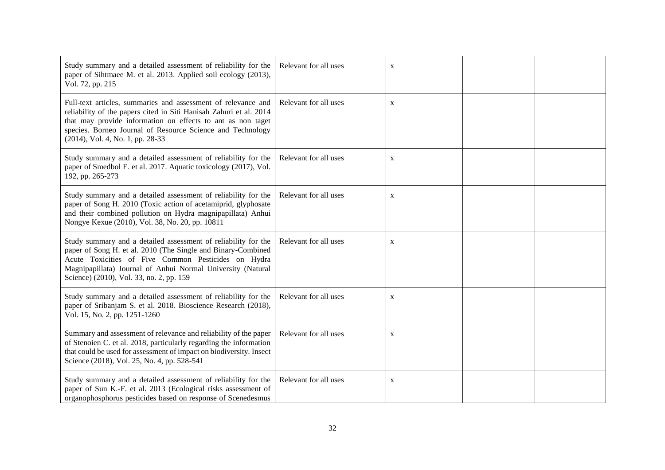| Study summary and a detailed assessment of reliability for the<br>paper of Sihtmaee M. et al. 2013. Applied soil ecology (2013),<br>Vol. 72, pp. 215                                                                                                                                                 | Relevant for all uses | X |  |
|------------------------------------------------------------------------------------------------------------------------------------------------------------------------------------------------------------------------------------------------------------------------------------------------------|-----------------------|---|--|
| Full-text articles, summaries and assessment of relevance and<br>reliability of the papers cited in Siti Hanisah Zahuri et al. 2014<br>that may provide information on effects to ant as non taget<br>species. Borneo Journal of Resource Science and Technology<br>(2014), Vol. 4, No. 1, pp. 28-33 | Relevant for all uses | X |  |
| Study summary and a detailed assessment of reliability for the<br>paper of Smedbol E. et al. 2017. Aquatic toxicology (2017), Vol.<br>192, pp. 265-273                                                                                                                                               | Relevant for all uses | X |  |
| Study summary and a detailed assessment of reliability for the<br>paper of Song H. 2010 (Toxic action of acetamiprid, glyphosate<br>and their combined pollution on Hydra magnipapillata) Anhui<br>Nongye Kexue (2010), Vol. 38, No. 20, pp. 10811                                                   | Relevant for all uses | X |  |
| Study summary and a detailed assessment of reliability for the<br>paper of Song H. et al. 2010 (The Single and Binary-Combined<br>Acute Toxicities of Five Common Pesticides on Hydra<br>Magnipapillata) Journal of Anhui Normal University (Natural<br>Science) (2010), Vol. 33, no. 2, pp. 159     | Relevant for all uses | X |  |
| Study summary and a detailed assessment of reliability for the<br>paper of Sribanjam S. et al. 2018. Bioscience Research (2018),<br>Vol. 15, No. 2, pp. 1251-1260                                                                                                                                    | Relevant for all uses | X |  |
| Summary and assessment of relevance and reliability of the paper<br>of Stenoien C. et al. 2018, particularly regarding the information<br>that could be used for assessment of impact on biodiversity. Insect<br>Science (2018), Vol. 25, No. 4, pp. 528-541                                         | Relevant for all uses | X |  |
| Study summary and a detailed assessment of reliability for the<br>paper of Sun K.-F. et al. 2013 (Ecological risks assessment of<br>organophosphorus pesticides based on response of Scenedesmus                                                                                                     | Relevant for all uses | X |  |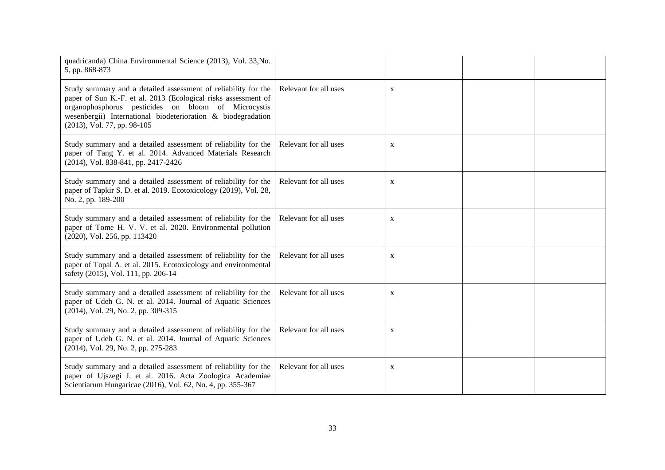| quadricanda) China Environmental Science (2013), Vol. 33, No.<br>5, pp. 868-873                                                                                                                                                                                                        |                       |              |  |
|----------------------------------------------------------------------------------------------------------------------------------------------------------------------------------------------------------------------------------------------------------------------------------------|-----------------------|--------------|--|
| Study summary and a detailed assessment of reliability for the<br>paper of Sun K.-F. et al. 2013 (Ecological risks assessment of<br>organophosphorus pesticides on bloom of Microcystis<br>wesenbergii) International biodeterioration & biodegradation<br>(2013), Vol. 77, pp. 98-105 | Relevant for all uses | $\mathbf X$  |  |
| Study summary and a detailed assessment of reliability for the<br>paper of Tang Y. et al. 2014. Advanced Materials Research<br>(2014), Vol. 838-841, pp. 2417-2426                                                                                                                     | Relevant for all uses | $\mathbf{X}$ |  |
| Study summary and a detailed assessment of reliability for the<br>paper of Tapkir S. D. et al. 2019. Ecotoxicology (2019), Vol. 28,<br>No. 2, pp. 189-200                                                                                                                              | Relevant for all uses | $\mathbf X$  |  |
| Study summary and a detailed assessment of reliability for the<br>paper of Tome H. V. V. et al. 2020. Environmental pollution<br>(2020), Vol. 256, pp. 113420                                                                                                                          | Relevant for all uses | $\mathbf X$  |  |
| Study summary and a detailed assessment of reliability for the<br>paper of Topal A. et al. 2015. Ecotoxicology and environmental<br>safety (2015), Vol. 111, pp. 206-14                                                                                                                | Relevant for all uses | X            |  |
| Study summary and a detailed assessment of reliability for the<br>paper of Udeh G. N. et al. 2014. Journal of Aquatic Sciences<br>(2014), Vol. 29, No. 2, pp. 309-315                                                                                                                  | Relevant for all uses | $\mathbf X$  |  |
| Study summary and a detailed assessment of reliability for the<br>paper of Udeh G. N. et al. 2014. Journal of Aquatic Sciences<br>(2014), Vol. 29, No. 2, pp. 275-283                                                                                                                  | Relevant for all uses | $\mathbf X$  |  |
| Study summary and a detailed assessment of reliability for the<br>paper of Ujszegi J. et al. 2016. Acta Zoologica Academiae<br>Scientiarum Hungaricae (2016), Vol. 62, No. 4, pp. 355-367                                                                                              | Relevant for all uses | X            |  |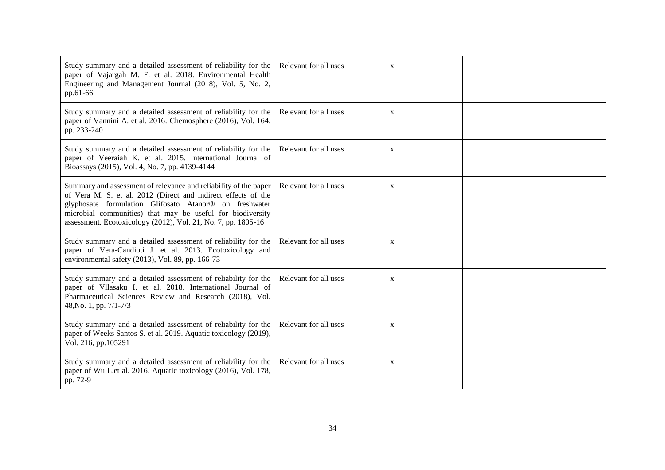| Study summary and a detailed assessment of reliability for the<br>paper of Vajargah M. F. et al. 2018. Environmental Health<br>Engineering and Management Journal (2018), Vol. 5, No. 2,<br>pp.61-66                                                                                                                       | Relevant for all uses | X            |  |
|----------------------------------------------------------------------------------------------------------------------------------------------------------------------------------------------------------------------------------------------------------------------------------------------------------------------------|-----------------------|--------------|--|
| Study summary and a detailed assessment of reliability for the<br>paper of Vannini A. et al. 2016. Chemosphere (2016), Vol. 164,<br>pp. 233-240                                                                                                                                                                            | Relevant for all uses | X            |  |
| Study summary and a detailed assessment of reliability for the<br>paper of Veeraiah K. et al. 2015. International Journal of<br>Bioassays (2015), Vol. 4, No. 7, pp. 4139-4144                                                                                                                                             | Relevant for all uses | X            |  |
| Summary and assessment of relevance and reliability of the paper<br>of Vera M. S. et al. 2012 (Direct and indirect effects of the<br>glyphosate formulation Glifosato Atanor® on freshwater<br>microbial communities) that may be useful for biodiversity<br>assessment. Ecotoxicology (2012), Vol. 21, No. 7, pp. 1805-16 | Relevant for all uses | X            |  |
| Study summary and a detailed assessment of reliability for the<br>paper of Vera-Candioti J. et al. 2013. Ecotoxicology and<br>environmental safety (2013), Vol. 89, pp. 166-73                                                                                                                                             | Relevant for all uses | $\mathbf{X}$ |  |
| Study summary and a detailed assessment of reliability for the<br>paper of Vllasaku I. et al. 2018. International Journal of<br>Pharmaceutical Sciences Review and Research (2018), Vol.<br>48, No. 1, pp. 7/1-7/3                                                                                                         | Relevant for all uses | X            |  |
| Study summary and a detailed assessment of reliability for the<br>paper of Weeks Santos S. et al. 2019. Aquatic toxicology (2019),<br>Vol. 216, pp.105291                                                                                                                                                                  | Relevant for all uses | X            |  |
| Study summary and a detailed assessment of reliability for the<br>paper of Wu L.et al. 2016. Aquatic toxicology (2016), Vol. 178,<br>pp. 72-9                                                                                                                                                                              | Relevant for all uses | X            |  |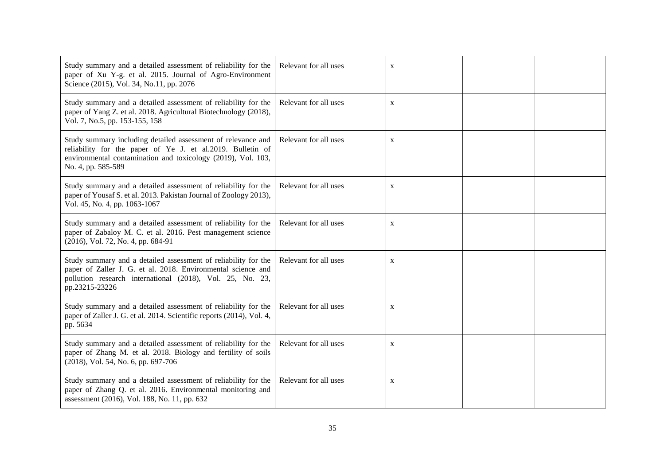| Study summary and a detailed assessment of reliability for the<br>paper of Xu Y-g. et al. 2015. Journal of Agro-Environment<br>Science (2015), Vol. 34, No.11, pp. 2076                                          | Relevant for all uses | $\mathbf{X}$ |  |
|------------------------------------------------------------------------------------------------------------------------------------------------------------------------------------------------------------------|-----------------------|--------------|--|
| Study summary and a detailed assessment of reliability for the<br>paper of Yang Z. et al. 2018. Agricultural Biotechnology (2018),<br>Vol. 7, No.5, pp. 153-155, 158                                             | Relevant for all uses | $\mathbf X$  |  |
| Study summary including detailed assessment of relevance and<br>reliability for the paper of Ye J. et al.2019. Bulletin of<br>environmental contamination and toxicology (2019), Vol. 103,<br>No. 4, pp. 585-589 | Relevant for all uses | X            |  |
| Study summary and a detailed assessment of reliability for the<br>paper of Yousaf S. et al. 2013. Pakistan Journal of Zoology 2013),<br>Vol. 45, No. 4, pp. 1063-1067                                            | Relevant for all uses | $\mathbf X$  |  |
| Study summary and a detailed assessment of reliability for the<br>paper of Zabaloy M. C. et al. 2016. Pest management science<br>(2016), Vol. 72, No. 4, pp. 684-91                                              | Relevant for all uses | $\mathbf X$  |  |
| Study summary and a detailed assessment of reliability for the<br>paper of Zaller J. G. et al. 2018. Environmental science and<br>pollution research international (2018), Vol. 25, No. 23,<br>pp.23215-23226    | Relevant for all uses | $\mathbf X$  |  |
| Study summary and a detailed assessment of reliability for the<br>paper of Zaller J. G. et al. 2014. Scientific reports (2014), Vol. 4,<br>pp. 5634                                                              | Relevant for all uses | X            |  |
| Study summary and a detailed assessment of reliability for the<br>paper of Zhang M. et al. 2018. Biology and fertility of soils<br>(2018), Vol. 54, No. 6, pp. 697-706                                           | Relevant for all uses | X            |  |
| Study summary and a detailed assessment of reliability for the<br>paper of Zhang Q. et al. 2016. Environmental monitoring and<br>assessment (2016), Vol. 188, No. 11, pp. 632                                    | Relevant for all uses | $\mathbf X$  |  |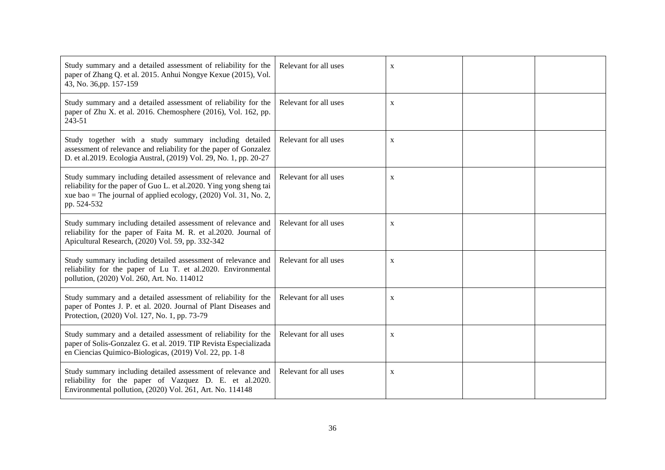| Study summary and a detailed assessment of reliability for the<br>paper of Zhang Q. et al. 2015. Anhui Nongye Kexue (2015), Vol.<br>43, No. 36, pp. 157-159                                                              | Relevant for all uses | $\mathbf X$ |  |
|--------------------------------------------------------------------------------------------------------------------------------------------------------------------------------------------------------------------------|-----------------------|-------------|--|
| Study summary and a detailed assessment of reliability for the<br>paper of Zhu X. et al. 2016. Chemosphere (2016), Vol. 162, pp.<br>243-51                                                                               | Relevant for all uses | $\mathbf X$ |  |
| Study together with a study summary including detailed<br>assessment of relevance and reliability for the paper of Gonzalez<br>D. et al.2019. Ecologia Austral, (2019) Vol. 29, No. 1, pp. 20-27                         | Relevant for all uses | X           |  |
| Study summary including detailed assessment of relevance and<br>reliability for the paper of Guo L. et al.2020. Ying yong sheng tai<br>xue bao = The journal of applied ecology, $(2020)$ Vol. 31, No. 2,<br>pp. 524-532 | Relevant for all uses | $\mathbf X$ |  |
| Study summary including detailed assessment of relevance and<br>reliability for the paper of Faita M. R. et al.2020. Journal of<br>Apicultural Research, (2020) Vol. 59, pp. 332-342                                     | Relevant for all uses | $\mathbf X$ |  |
| Study summary including detailed assessment of relevance and<br>reliability for the paper of Lu T. et al.2020. Environmental<br>pollution, (2020) Vol. 260, Art. No. 114012                                              | Relevant for all uses | $\mathbf X$ |  |
| Study summary and a detailed assessment of reliability for the<br>paper of Pontes J. P. et al. 2020. Journal of Plant Diseases and<br>Protection, (2020) Vol. 127, No. 1, pp. 73-79                                      | Relevant for all uses | $\mathbf X$ |  |
| Study summary and a detailed assessment of reliability for the<br>paper of Solis-Gonzalez G. et al. 2019. TIP Revista Especializada<br>en Ciencias Quimico-Biologicas, (2019) Vol. 22, pp. 1-8                           | Relevant for all uses | X           |  |
| Study summary including detailed assessment of relevance and<br>reliability for the paper of Vazquez D. E. et al.2020.<br>Environmental pollution, (2020) Vol. 261, Art. No. 114148                                      | Relevant for all uses | X           |  |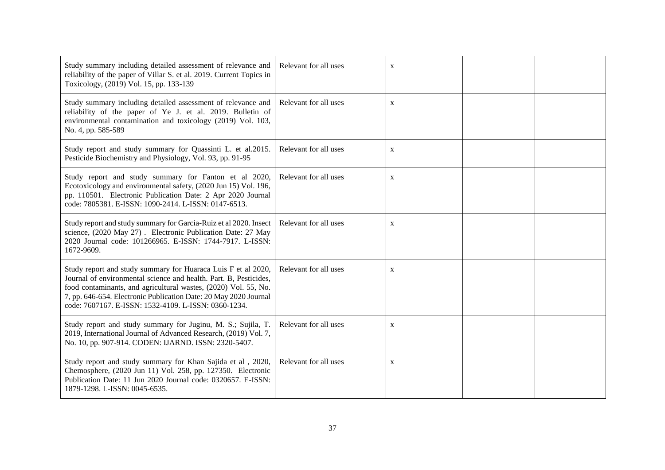| Study summary including detailed assessment of relevance and<br>reliability of the paper of Villar S. et al. 2019. Current Topics in<br>Toxicology, (2019) Vol. 15, pp. 133-139                                                                                                                                                   | Relevant for all uses | $\mathbf{X}$ |  |
|-----------------------------------------------------------------------------------------------------------------------------------------------------------------------------------------------------------------------------------------------------------------------------------------------------------------------------------|-----------------------|--------------|--|
| Study summary including detailed assessment of relevance and<br>reliability of the paper of Ye J. et al. 2019. Bulletin of<br>environmental contamination and toxicology (2019) Vol. 103,<br>No. 4, pp. 585-589                                                                                                                   | Relevant for all uses | $\mathbf X$  |  |
| Study report and study summary for Quassinti L. et al.2015.<br>Pesticide Biochemistry and Physiology, Vol. 93, pp. 91-95                                                                                                                                                                                                          | Relevant for all uses | $\mathbf X$  |  |
| Study report and study summary for Fanton et al 2020,<br>Ecotoxicology and environmental safety, (2020 Jun 15) Vol. 196,<br>pp. 110501. Electronic Publication Date: 2 Apr 2020 Journal<br>code: 7805381. E-ISSN: 1090-2414. L-ISSN: 0147-6513.                                                                                   | Relevant for all uses | $\mathbf{X}$ |  |
| Study report and study summary for Garcia-Ruiz et al 2020. Insect<br>science, (2020 May 27). Electronic Publication Date: 27 May<br>2020 Journal code: 101266965. E-ISSN: 1744-7917. L-ISSN:<br>1672-9609.                                                                                                                        | Relevant for all uses | $\mathbf X$  |  |
| Study report and study summary for Huaraca Luis F et al 2020,<br>Journal of environmental science and health. Part. B, Pesticides,<br>food contaminants, and agricultural wastes, (2020) Vol. 55, No.<br>7, pp. 646-654. Electronic Publication Date: 20 May 2020 Journal<br>code: 7607167. E-ISSN: 1532-4109. L-ISSN: 0360-1234. | Relevant for all uses | $\mathbf X$  |  |
| Study report and study summary for Juginu, M. S.; Sujila, T.<br>2019, International Journal of Advanced Research, (2019) Vol. 7,<br>No. 10, pp. 907-914. CODEN: IJARND. ISSN: 2320-5407.                                                                                                                                          | Relevant for all uses | $\mathbf X$  |  |
| Study report and study summary for Khan Sajida et al , 2020,<br>Chemosphere, (2020 Jun 11) Vol. 258, pp. 127350. Electronic<br>Publication Date: 11 Jun 2020 Journal code: 0320657. E-ISSN:<br>1879-1298. L-ISSN: 0045-6535.                                                                                                      | Relevant for all uses | $\mathbf X$  |  |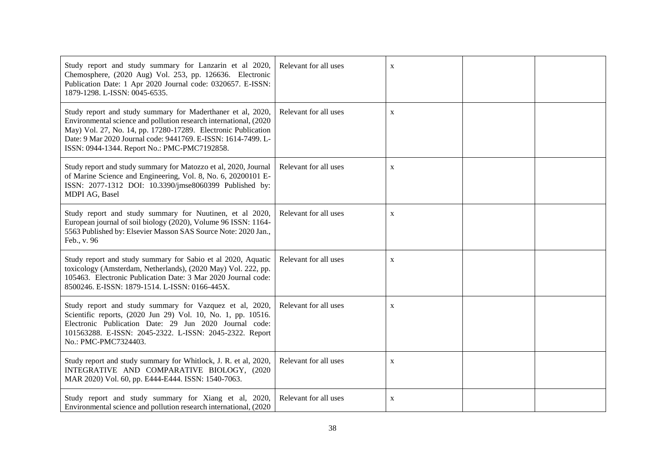| Study report and study summary for Lanzarin et al 2020,<br>Chemosphere, (2020 Aug) Vol. 253, pp. 126636. Electronic<br>Publication Date: 1 Apr 2020 Journal code: 0320657. E-ISSN:<br>1879-1298. L-ISSN: 0045-6535.                                                                                                 | Relevant for all uses | X           |  |
|---------------------------------------------------------------------------------------------------------------------------------------------------------------------------------------------------------------------------------------------------------------------------------------------------------------------|-----------------------|-------------|--|
| Study report and study summary for Maderthaner et al, 2020,<br>Environmental science and pollution research international, (2020)<br>May) Vol. 27, No. 14, pp. 17280-17289. Electronic Publication<br>Date: 9 Mar 2020 Journal code: 9441769. E-ISSN: 1614-7499. L-<br>ISSN: 0944-1344. Report No.: PMC-PMC7192858. | Relevant for all uses | X           |  |
| Study report and study summary for Matozzo et al, 2020, Journal<br>of Marine Science and Engineering, Vol. 8, No. 6, 20200101 E-<br>ISSN: 2077-1312 DOI: 10.3390/jmse8060399 Published by:<br>MDPI AG, Basel                                                                                                        | Relevant for all uses | $\mathbf X$ |  |
| Study report and study summary for Nuutinen, et al 2020,<br>European journal of soil biology (2020), Volume 96 ISSN: 1164-<br>5563 Published by: Elsevier Masson SAS Source Note: 2020 Jan.,<br>Feb., v. 96                                                                                                         | Relevant for all uses | X           |  |
| Study report and study summary for Sabio et al 2020, Aquatic<br>toxicology (Amsterdam, Netherlands), (2020 May) Vol. 222, pp.<br>105463. Electronic Publication Date: 3 Mar 2020 Journal code:<br>8500246. E-ISSN: 1879-1514. L-ISSN: 0166-445X.                                                                    | Relevant for all uses | $\mathbf X$ |  |
| Study report and study summary for Vazquez et al, 2020,<br>Scientific reports, (2020 Jun 29) Vol. 10, No. 1, pp. 10516.<br>Electronic Publication Date: 29 Jun 2020 Journal code:<br>101563288. E-ISSN: 2045-2322. L-ISSN: 2045-2322. Report<br>No.: PMC-PMC7324403.                                                | Relevant for all uses | X           |  |
| Study report and study summary for Whitlock, J. R. et al, 2020,<br>INTEGRATIVE AND COMPARATIVE BIOLOGY, (2020)<br>MAR 2020) Vol. 60, pp. E444-E444. ISSN: 1540-7063.                                                                                                                                                | Relevant for all uses | $\mathbf X$ |  |
| Study report and study summary for Xiang et al, 2020,<br>Environmental science and pollution research international, (2020)                                                                                                                                                                                         | Relevant for all uses | $\mathbf X$ |  |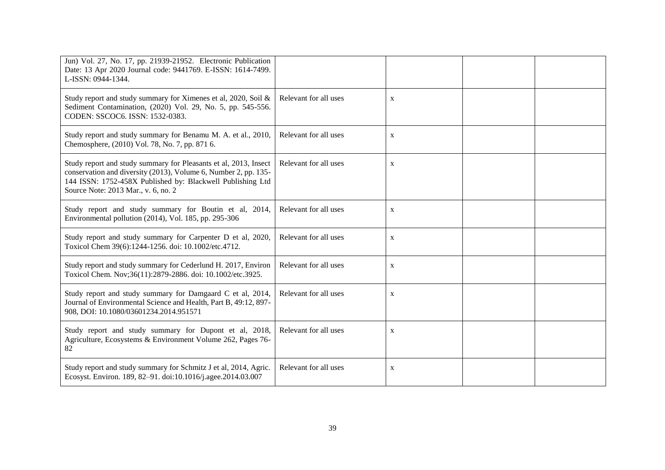| Jun) Vol. 27, No. 17, pp. 21939-21952. Electronic Publication<br>Date: 13 Apr 2020 Journal code: 9441769. E-ISSN: 1614-7499.<br>L-ISSN: 0944-1344.                                                                                       |                       |              |  |
|------------------------------------------------------------------------------------------------------------------------------------------------------------------------------------------------------------------------------------------|-----------------------|--------------|--|
| Study report and study summary for Ximenes et al, 2020, Soil &<br>Sediment Contamination, (2020) Vol. 29, No. 5, pp. 545-556.<br>CODEN: SSCOC6. ISSN: 1532-0383.                                                                         | Relevant for all uses | X            |  |
| Study report and study summary for Benamu M. A. et al., 2010,<br>Chemosphere, (2010) Vol. 78, No. 7, pp. 871 6.                                                                                                                          | Relevant for all uses | X            |  |
| Study report and study summary for Pleasants et al, 2013, Insect<br>conservation and diversity (2013), Volume 6, Number 2, pp. 135-<br>144 ISSN: 1752-458X Published by: Blackwell Publishing Ltd<br>Source Note: 2013 Mar., v. 6, no. 2 | Relevant for all uses | $\mathbf X$  |  |
| Study report and study summary for Boutin et al, 2014,<br>Environmental pollution (2014), Vol. 185, pp. 295-306                                                                                                                          | Relevant for all uses | $\mathbf X$  |  |
| Study report and study summary for Carpenter D et al, 2020,<br>Toxicol Chem 39(6):1244-1256. doi: 10.1002/etc.4712.                                                                                                                      | Relevant for all uses | $\mathbf{X}$ |  |
| Study report and study summary for Cederlund H. 2017, Environ<br>Toxicol Chem. Nov;36(11):2879-2886. doi: 10.1002/etc.3925.                                                                                                              | Relevant for all uses | $\mathbf X$  |  |
| Study report and study summary for Damgaard C et al, 2014,<br>Journal of Environmental Science and Health, Part B, 49:12, 897-<br>908, DOI: 10.1080/03601234.2014.951571                                                                 | Relevant for all uses | X            |  |
| Study report and study summary for Dupont et al, 2018,<br>Agriculture, Ecosystems & Environment Volume 262, Pages 76-<br>82                                                                                                              | Relevant for all uses | $\mathbf X$  |  |
| Study report and study summary for Schmitz J et al, 2014, Agric.<br>Ecosyst. Environ. 189, 82-91. doi:10.1016/j.agee.2014.03.007                                                                                                         | Relevant for all uses | $\mathbf X$  |  |